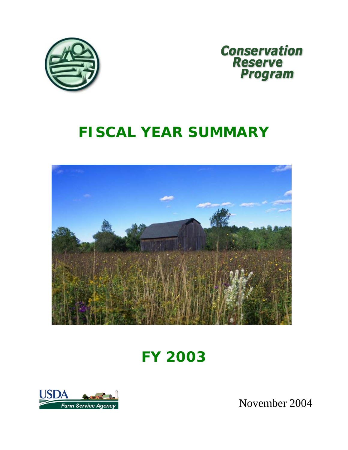



# *FISCAL YEAR SUMMARY*



*FY 2003*



November 2004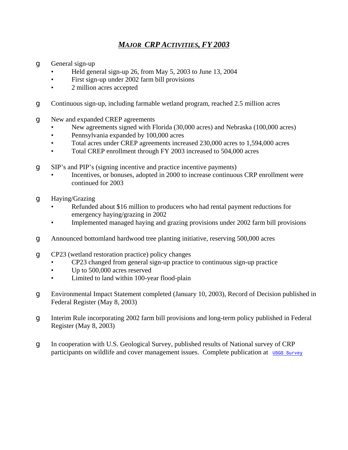## *MAJOR CRP ACTIVITIES, FY 2003*

- **g** General sign-up
	- Held general sign-up 26, from May 5, 2003 to June 13, 2004
	- First sign-up under 2002 farm bill provisions
	- 2 million acres accepted

g Continuous sign-up, including farmable wetland program, reached 2.5 million acres

- **g** New and expanded CREP agreements
	- New agreements signed with Florida (30,000 acres) and Nebraska (100,000 acres)
	- Pennsylvania expanded by 100,000 acres
	- Total acres under CREP agreements increased 230,000 acres to 1,594,000 acres
	- Total CREP enrollment through FY 2003 increased to 504,000 acres
- g SIP's and PIP's (signing incentive and practice incentive payments)
	- Incentives, or bonuses, adopted in 2000 to increase continuous CRP enrollment were continued for 2003
- g Haying/Grazing
	- Refunded about \$16 million to producers who had rental payment reductions for emergency haying/grazing in 2002
	- Implemented managed haying and grazing provisions under 2002 farm bill provisions
- g Announced bottomland hardwood tree planting initiative, reserving 500,000 acres
- g CP23 (wetland restoration practice) policy changes
	- CP23 changed from general sign-up practice to continuous sign-up practice
	- Up to 500,000 acres reserved
	- Limited to land within 100-year flood-plain
- g Environmental Impact Statement completed (January 10, 2003), Record of Decision published in Federal Register (May 8, 2003)
- g Interim Rule incorporating 2002 farm bill provisions and long-term policy published in Federal Register (May 8, 2003)
- g In cooperation with U.S. Geological Survey, published results of National survey of CRP participants on wildlife and cover management issues. Complete publication at uses survey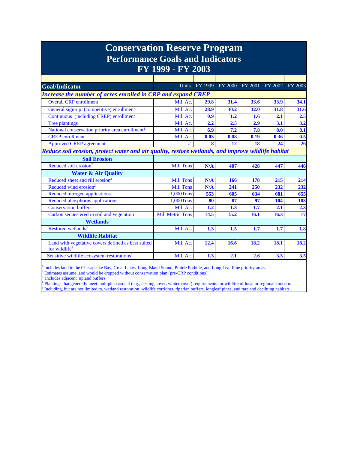| <b>Conservation Reserve Program</b><br><b>Performance Goals and Indicators</b><br>FY 1999 - FY 2003 |                         |         |      |                 |         |         |  |  |  |  |
|-----------------------------------------------------------------------------------------------------|-------------------------|---------|------|-----------------|---------|---------|--|--|--|--|
|                                                                                                     |                         |         |      |                 |         |         |  |  |  |  |
| <b>Goal/Indicator</b>                                                                               | <b>Units</b>            | FY 1999 |      | FY 2000 FY 2001 | FY 2002 | FY 2003 |  |  |  |  |
| Increase the number of acres enrolled in CRP and expand CREP                                        |                         |         |      |                 |         |         |  |  |  |  |
| <b>Overall CRP</b> enrollment                                                                       | Mil. Ac.                | 29.8    | 31.4 | 33.6            | 33.9    | 34.1    |  |  |  |  |
| General sign-up (competitive) enrollment                                                            | Mil. Ac.                | 28.9    | 30.2 | 32.0            | 31.8    | 31.6    |  |  |  |  |
| Continuous (including CREP) enrollment                                                              | Mil. Ac.                | 0.9     | 1.2  | 1.6             | 2.1     | 2.5     |  |  |  |  |
| Tree plantings                                                                                      | Mil. Ac.                | 2.2     | 2.5  | 2.9             | 3.1     | 3.2     |  |  |  |  |
| National conservation priority area enrollment <sup>1</sup>                                         | Mil. Ac.                | 6.9     | 7.2  | 7.8             | 8.0     | 8.1     |  |  |  |  |
| <b>CREP</b> enrollment                                                                              | Mil. Ac.                | 0.03    | 0.08 | 0.19            | 0.36    | 0.5     |  |  |  |  |
| <b>Approved CREP agreements</b>                                                                     | #                       | 8       | 12   | 18              | 24      | 26      |  |  |  |  |
| Reduce soil erosion, protect water and air quality, restore wetlands, and improve wildlife habitat  |                         |         |      |                 |         |         |  |  |  |  |
| <b>Soil Erosion</b>                                                                                 |                         |         |      |                 |         |         |  |  |  |  |
| Reduced soil erosion <sup>2</sup>                                                                   | Mil. Tons               | N/A     | 407  | 428             | 447     | 446     |  |  |  |  |
| <b>Water &amp; Air Quality</b>                                                                      |                         |         |      |                 |         |         |  |  |  |  |
| Reduced sheet and rill erosion <sup>2</sup>                                                         | Mil. Tons               | N/A     | 166  | 178             | 215     | 214     |  |  |  |  |
| Reduced wind erosion <sup>2</sup>                                                                   | Mil. Tons               | N/A     | 241  | 250             | 232     | 232     |  |  |  |  |
| Reduced nitrogen applications                                                                       | 1,000Tons               | 553     | 605  | 634             | 681     | 655     |  |  |  |  |
| Reduced phosphorus applications                                                                     | 1,000Tons               | 80      | 87   | 97              | 104     | 103     |  |  |  |  |
| <b>Conservation buffers</b>                                                                         | Mil. Ac.                | 1.2     | 1.3  | 1.7             | 2.1     | 2.3     |  |  |  |  |
| Carbon sequestered in soil and vegetation                                                           | <b>Mil. Metric Tons</b> | 14.5    | 15.2 | 16.1            | 16.3    | 17      |  |  |  |  |
| <b>Wetlands</b>                                                                                     |                         |         |      |                 |         |         |  |  |  |  |
| Restored wetlands <sup>3</sup>                                                                      | Mil. Ac.                | 1.3     | 1.5  | 1.7             | 1.7     | 1.8     |  |  |  |  |
| <b>Wildlife Habitat</b>                                                                             |                         |         |      |                 |         |         |  |  |  |  |
| Land with vegetative covers defined as best suited<br>for wildlife <sup>4</sup>                     | Mil. Ac.                | 12.4    | 16.6 | 18.2            | 18.1    | 18.2    |  |  |  |  |
| Sensitive wildlife ecosystem restorations <sup>5</sup>                                              | Mil. Ac.                | 1.3     | 2.1  | 2.6             | 3.3     | 3.5     |  |  |  |  |

<sup>1</sup> Includes land in the Chesapeake Bay, Great Lakes, Long Island Sound, Prairie Pothole, and Long Leaf Pine priority areas.<br><sup>2</sup> Estimates assume land would be cropped without conservation plan (pre CPP conditions).

<sup>2</sup> Estimates assume land would be cropped without conservation plan (pre-CRP conditions).<br><sup>3</sup> Includes adjacent upland buffers.<br><sup>4</sup> Plantings that generally meet multiple seasonal (e.g., nesting cover, winter cover) requi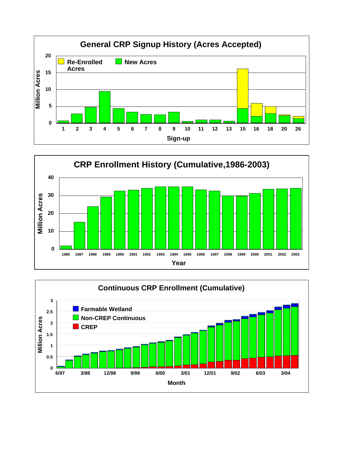



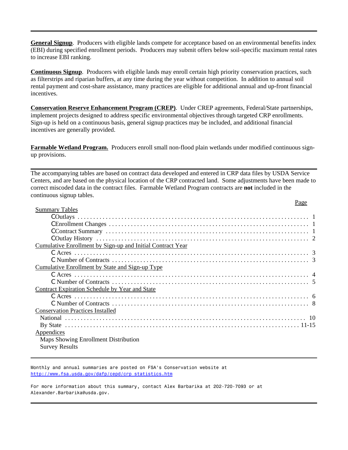**General Signup**. Producers with eligible lands compete for acceptance based on an environmental benefits index (EBI) during specified enrollment periods. Producers may submit offers below soil-specific maximum rental rates to increase EBI ranking.

**Continuous Signup**. Producers with eligible lands may enroll certain high priority conservation practices, such as filterstrips and riparian buffers, at any time during the year without competition. In addition to annual soil rental payment and cost-share assistance, many practices are eligible for additional annual and up-front financial incentives.

**Conservation Reserve Enhancement Program (CREP)**. Under CREP agreements, Federal/State partnerships, implement projects designed to address specific environmental objectives through targeted CRP enrollments. Sign-up is held on a continuous basis, general signup practices may be included, and additional financial incentives are generally provided.

**Farmable Wetland Program.** Producers enroll small non-flood plain wetlands under modified continuous signup provisions.

The accompanying tables are based on contract data developed and entered in CRP data files by USDA Service Centers, and are based on the physical location of the CRP contracted land. Some adjustments have been made to correct miscoded data in the contract files. Farmable Wetland Program contracts are **not** included in the continuous signup tables.  $p_{90}$ 

|                                                            | agu |  |
|------------------------------------------------------------|-----|--|
| <b>Summary Tables</b>                                      |     |  |
|                                                            |     |  |
|                                                            |     |  |
|                                                            |     |  |
|                                                            |     |  |
| Cumulative Enrollment by Sign-up and Initial Contract Year |     |  |
|                                                            |     |  |
|                                                            |     |  |
| Cumulative Enrollment by State and Sign-up Type            |     |  |
|                                                            |     |  |
|                                                            |     |  |
| <b>Contract Expiration Schedule by Year and State</b>      |     |  |
|                                                            |     |  |
|                                                            |     |  |
| <b>Conservation Practices Installed</b>                    |     |  |
|                                                            |     |  |
|                                                            |     |  |
| Appendices                                                 |     |  |
| Maps Showing Enrollment Distribution                       |     |  |
| <b>Survey Results</b>                                      |     |  |
|                                                            |     |  |

Monthly and annual summaries are posted on FSA's Conservation website at http://www.fsa.usda.gov/dafp/cepd/crp\_statistics.htm

For more information about this summary, contact Alex Barbarika at 202-720-7093 or at Alexander.Barbarika@usda.gov.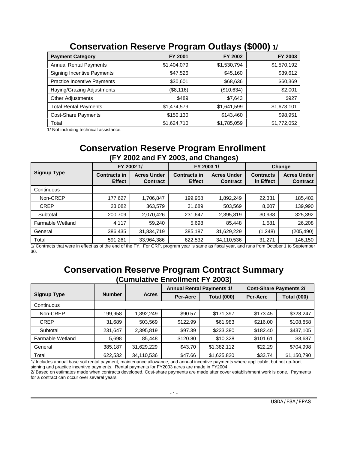|                                    | ີ           |             | . .         |
|------------------------------------|-------------|-------------|-------------|
| <b>Payment Category</b>            | FY 2001     | FY 2002     | FY 2003     |
| <b>Annual Rental Payments</b>      | \$1,404,079 | \$1,530,794 | \$1,570,192 |
| <b>Signing Incentive Payments</b>  | \$47,526    | \$45,160    | \$39,612    |
| <b>Practice Incentive Payments</b> | \$30,601    | \$68,636    | \$60,369    |
| Haying/Grazing Adjustments         | (\$8,116)   | (\$10,634)  | \$2,001     |
| Other Adjustments                  | \$489       | \$7,643     | \$927       |
| <b>Total Rental Payments</b>       | \$1,474,579 | \$1,641,599 | \$1,673,101 |
| <b>Cost-Share Payments</b>         | \$150,130   | \$143,460   | \$98,951    |
| Total                              | \$1,624,710 | \$1,785,059 | \$1,772,052 |

## **Conservation Reserve Program Outlays (\$000) 1/**

1/ Not including technical assistance.

## **Conservation Reserve Program Enrollment (FY 2002 and FY 2003, and Changes)**

|                    |                                      | FY 2002 1/                            |                                      | FY 2003 1/                            | Change                        |                                       |  |
|--------------------|--------------------------------------|---------------------------------------|--------------------------------------|---------------------------------------|-------------------------------|---------------------------------------|--|
| <b>Signup Type</b> | <b>Contracts in</b><br><b>Effect</b> | <b>Acres Under</b><br><b>Contract</b> | <b>Contracts in</b><br><b>Effect</b> | <b>Acres Under</b><br><b>Contract</b> | <b>Contracts</b><br>in Effect | <b>Acres Under</b><br><b>Contract</b> |  |
| Continuous         |                                      |                                       |                                      |                                       |                               |                                       |  |
| Non-CREP           | 177,627                              | 1,706,847                             | 199,958                              | 1,892,249                             | 22,331                        | 185,402                               |  |
| <b>CREP</b>        | 23,082                               | 363,579                               | 31,689                               | 503,569                               | 8,607                         | 139,990                               |  |
| Subtotal           | 200,709                              | 2,070,426                             | 231,647                              | 2,395,819                             | 30,938                        | 325,392                               |  |
| Farmable Wetland   | 4.117                                | 59,240                                | 5,698                                | 85.448                                | 1,581                         | 26,208                                |  |
| General            | 386,435                              | 31,834,719                            | 385,187                              | 31,629,229                            | (1, 248)                      | (205, 490)                            |  |
| Total              | 591,261                              | 33,964,386                            | 622,532                              | 34,110,536                            | 31,271                        | 146,150                               |  |

1/ Contracts that were in effect as of the end of the FY. For CRP, program year is same as fiscal year, and runs from October 1 to September 30.

## **Conservation Reserve Program Contract Summary (Cumulative Enrollment FY 2003)**

|                    |               |              | <b>Annual Rental Payments 1/</b> |                    | <b>Cost-Share Payments 2/</b> |                    |  |
|--------------------|---------------|--------------|----------------------------------|--------------------|-------------------------------|--------------------|--|
| <b>Signup Type</b> | <b>Number</b> | <b>Acres</b> | Per-Acre                         | <b>Total (000)</b> | Per-Acre                      | <b>Total (000)</b> |  |
| Continuous         |               |              |                                  |                    |                               |                    |  |
| Non-CREP           | 199,958       | 1,892,249    | \$90.57                          | \$171,397          | \$173.45                      | \$328,247          |  |
| <b>CREP</b>        | 31,689        | 503,569      | \$122.99                         | \$61,983           | \$216.00                      | \$108,858          |  |
| Subtotal           | 231,647       | 2,395,819    | \$97.39                          | \$233,380          | \$182.40                      | \$437,105          |  |
| Farmable Wetland   | 5,698         | 85,448       | \$120.80                         | \$10,328           | \$101.61                      | \$8,687            |  |
| General            | 385,187       | 31,629,229   | \$43.70                          | \$1,382,112        | \$22.29                       | \$704,998          |  |
| Total              | 622,532       | 34,110,536   | \$47.66                          | \$1,625,820        | \$33.74                       | \$1,150,790        |  |

1/ Includes annual base soil rental payment, maintenance allowance, and annual incentive payments where applicable, but not up-front signing and practice incentive payments. Rental payments for FY2003 acres are made in FY2004.

2/ Based on estimates made when contracts developed. Cost-share payments are made after cover establishment work is done. Payments for a contract can occur over several years.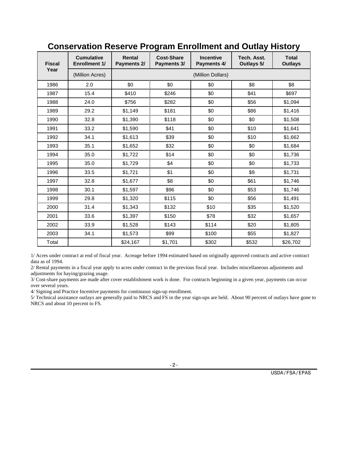| <b>Fiscal</b> | <b>Cumulative</b><br><b>Enrollment 1/</b> | Rental<br>Payments 2/ | <b>Cost-Share</b><br>Payments 3/ | <b>Incentive</b><br>Payments 4/ | Tech. Asst.<br>Outlays 5/ | <b>Total</b><br><b>Outlays</b> |
|---------------|-------------------------------------------|-----------------------|----------------------------------|---------------------------------|---------------------------|--------------------------------|
| Year          | (Million Acres)                           |                       |                                  | (Million Dollars)               |                           |                                |
| 1986          | 2.0                                       | \$0                   | \$0                              | \$0                             | \$8                       | \$8                            |
| 1987          | 15.4                                      | \$410                 | \$246                            | \$0                             | \$41                      | \$697                          |
| 1988          | 24.0                                      | \$756                 | \$282                            | \$0                             | \$56                      | \$1,094                        |
| 1989          | 29.2                                      | \$1,149               | \$181                            | \$0                             | \$86                      | \$1,416                        |
| 1990          | 32.8                                      | \$1,390               | \$118                            | \$0                             | \$0                       | \$1,508                        |
| 1991          | 33.2                                      | \$1,590               | \$41                             | \$0                             | \$10                      | \$1,641                        |
| 1992          | 34.1                                      | \$1,613               | \$39                             | \$0                             | \$10                      | \$1,662                        |
| 1993          | 35.1                                      | \$1,652               | \$32                             | \$0                             | \$0                       | \$1,684                        |
| 1994          | 35.0                                      | \$1,722               | \$14                             | \$0                             | \$0                       | \$1,736                        |
| 1995          | 35.0                                      | \$1,729               | \$4                              | \$0                             | \$0                       | \$1,733                        |
| 1996          | 33.5                                      | \$1,721               | \$1                              | \$0                             | \$9                       | \$1,731                        |
| 1997          | 32.8                                      | \$1,677               | \$8                              | \$0                             | \$61                      | \$1,746                        |
| 1998          | 30.1                                      | \$1,597               | \$96                             | \$0                             | \$53                      | \$1,746                        |
| 1999          | 29.8                                      | \$1,320               | \$115                            | \$0                             | \$56                      | \$1,491                        |
| 2000          | 31.4                                      | \$1,343               | \$132                            | \$10                            | \$35                      | \$1,520                        |
| 2001          | 33.6                                      | \$1,397               | \$150                            | \$78                            | \$32                      | \$1,657                        |
| 2002          | 33.9                                      | \$1,528               | \$143                            | \$114                           | \$20                      | \$1,805                        |
| 2003          | 34.1                                      | \$1,573               | \$99                             | \$100                           | \$55                      | \$1,827                        |
| Total         |                                           | \$24,167              | \$1,701                          | \$302                           | \$532                     | \$26,702                       |

## **Conservation Reserve Program Enrollment and Outlay History**

1/ Acres under contract at end of fiscal year. Acreage before 1994 estimated based on originally approved contracts and active contract data as of 1994.

2/ Rental payments in a fiscal year apply to acres under contract in the previous fiscal year. Includes miscellaneous adjustments and adjustments for haying/grazing usage.

3/ Cost-share payments are made after cover establishment work is done. For contracts beginning in a given year, payments can occur over several years.

4/ Signing and Practice Incentive payments for continuous sign-up enrollment.

5/ Technical assistance outlays are generally paid to NRCS and FS in the year sign-ups are held. About 90 percent of outlays have gone to NRCS and about 10 percent to FS.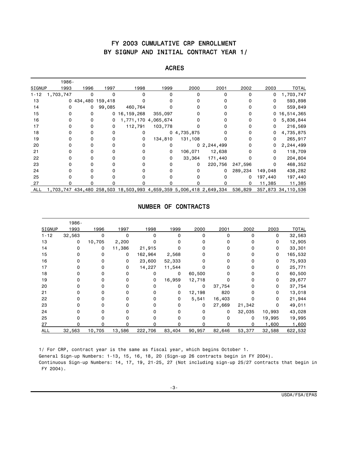### FY 2003 CUMULATIVE CRP ENROLLMENT BY SIGNUP AND INITIAL CONTRACT YEAR 1/

|            | 1986-        |                   |          |                                                                    |                     |                |              |         |         |                    |
|------------|--------------|-------------------|----------|--------------------------------------------------------------------|---------------------|----------------|--------------|---------|---------|--------------------|
| SIGNUP     | 1993         | 1996              | 1997     | 1998                                                               | 1999                | 2000           | 2001         | 2002    | 2003    | <b>TOTAL</b>       |
| $1 - 12$   | 1,703,747    | 0                 | $\Omega$ | 0                                                                  |                     | $\Omega$       | $\Omega$     | 0       | 0       | 1,703,747          |
| 13         |              | 0 434,480 159,418 |          |                                                                    |                     |                |              |         | 0       | 593,898            |
| 14         | <sup>0</sup> | 0                 | 99,085   | 460,764                                                            |                     |                |              |         | 0       | 559,849            |
| 15         |              |                   | 0        | 16,159,268                                                         | 355,097             |                |              |         | 0       | 16,514,365         |
| 16         |              |                   | 0        |                                                                    | 1,771,170 4,065,674 |                |              |         | 0       | 5,836,844          |
| 17         |              |                   | 0        | 112,791                                                            | 103,778             |                |              |         | 0       | 216,569            |
| 18         |              |                   | O        | 0                                                                  |                     | 0, 4, 735, 875 |              |         | 0       | 4,735,875          |
| 19         |              |                   |          | 0                                                                  | 134,810             | 131,108        | O            | 0       | 0       | 265,917            |
| 20         |              |                   |          |                                                                    | 0                   |                | 02, 244, 499 |         | 0       | 2,244,499          |
| 21         |              |                   |          |                                                                    | 0                   | 106,071        | 12,638       |         | 0       | 118,709            |
| 22         |              |                   |          |                                                                    | 0                   | 33,364         | 171,440      |         | 0       | 204,804            |
| 23         |              |                   |          |                                                                    |                     | 0              | 220,756      | 247,596 |         | 468,352            |
| 24         |              |                   |          |                                                                    |                     | 0              | $\Omega$     | 289,234 | 149,048 | 438,282            |
| 25         |              |                   |          |                                                                    |                     |                |              | 0       | 197,440 | 197,440            |
| 27         |              |                   |          |                                                                    |                     |                |              | 0       | 11,385  | 11,385             |
| <b>ALL</b> |              |                   |          | 1,703,747 434,480 258,503 18,503,993 4,659,359 5,006,418 2,649,334 |                     |                |              | 536,829 |         | 357,873 34,110,536 |

#### ACRES

#### NUMBER OF CONTRACTS

|               | 1986-  |          |          |              |        |          |        |        |          |              |
|---------------|--------|----------|----------|--------------|--------|----------|--------|--------|----------|--------------|
| <b>SIGNUP</b> | 1993   | 1996     | 1997     | 1998         | 1999   | 2000     | 2001   | 2002   | 2003     | <b>TOTAL</b> |
| $1 - 12$      | 32,563 | 0        | $\Omega$ | 0            | 0      | $\Omega$ | 0      | 0      | 0        | 32,563       |
| 13            | 0      | 10,705   | 2,200    |              |        |          |        |        | 0        | 12,905       |
| 14            | 0      | 0        | 11,386   | 21,915       |        |          |        |        | 0        | 33,301       |
| 15            | 0      | 0        | 0        | 162,964      | 2,568  | 0        | o      |        | 0        | 165,532      |
| 16            | O      | 0        | 0        | 23,600       | 52,333 | 0        | o      |        | 0        | 75,933       |
| 17            | U      | $\Omega$ | 0        | 14,227       | 11,544 | n        | n      |        | 0        | 25,771       |
| 18            |        | 0        |          | 0            | 0      | 60,500   | n      |        | 0        | 60,500       |
| 19            |        | 0        |          | 0            | 16,959 | 12,718   | n      |        | 0        | 29,677       |
| 20            |        | $\Omega$ |          | 0            |        | 0        | 37,754 |        | 0        | 37,754       |
| 21            |        | $\Omega$ |          | $\Omega$     | 0      | 12,198   | 820    |        | 0        | 13,018       |
| 22            |        | $\Omega$ |          | 0            | 0      | 5,541    | 16,403 |        | 0        | 21,944       |
| 23            |        | O        |          | <sup>0</sup> | 0      | 0        | 27,669 | 21,342 | $\Omega$ | 49,011       |
| 24            |        |          |          |              | n      | 0        | 0      | 32,035 | 10,993   | 43,028       |
| 25            | ŋ      | 0        |          |              |        | 0        | 0      | 0      | 19,995   | 19,995       |
| 27            |        | ŋ        |          | n            |        |          |        |        | 1,600    | 1,600        |
| <b>ALL</b>    | 32,563 | 10,705   | 13,586   | 222,706      | 83,404 | 90,957   | 82,646 | 53,377 | 32,588   | 622,532      |
|               |        |          |          |              |        |          |        |        |          |              |

1/ For CRP, contract year is the same as fiscal year, which begins October 1.

General Sign-up Numbers: 1-13, 15, 16, 18, 20 (Sign-up 26 contracts begin in FY 2004).

 Continuous Sign-up Numbers: 14, 17, 19, 21-25, 27 (Not including sign-up 25/27 contracts that begin in FY 2004).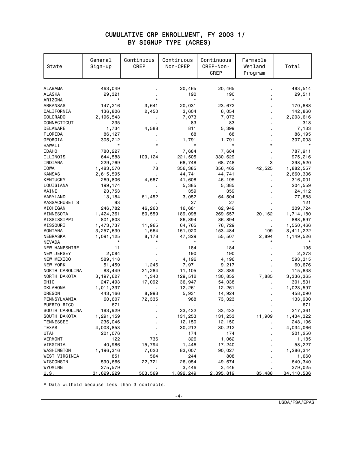#### CUMULATIVE CRP ENROLLMENT, FY 2003 1/ BY SIGNUP TYPE (ACRES)

| State                       | General<br>Sign-up | Continuous<br>CREP | Continuous<br>Non-CREP | Continuous<br>CREP+Non-<br><b>CREP</b> | Farmable<br>Wetland<br>Program | Total        |
|-----------------------------|--------------------|--------------------|------------------------|----------------------------------------|--------------------------------|--------------|
| ALABAMA                     | 463,049            |                    | 20,465                 | 20,465                                 |                                | 483,514      |
| ALASKA                      | 29,321             |                    | 190                    | 190                                    |                                | 29,511       |
| ARIZONA                     |                    |                    | $\star$                | $\star$                                |                                |              |
| ARKANSAS                    | 147,216            | 3,641              | 20,031                 | 23,672                                 |                                | 170,888      |
| CALIFORNIA                  | 136,806            | 2,450              | 3,604                  | 6,054                                  |                                | 142,860      |
| <b>COLORADO</b>             | 2,196,543          |                    | 7,073                  | 7,073                                  |                                | 2,203,616    |
| CONNECTICUT                 | 235                |                    | 83                     | 83                                     |                                | 318          |
| DELAWARE                    | 1,734              | 4,588              | 811                    | 5,399                                  |                                | 7,133        |
| FLORIDA                     | 86,127             |                    | 68                     | 68                                     |                                | 86,195       |
| GEORGIA                     | 305,212            |                    | 1,791                  | 1,791                                  |                                | 307,003      |
| HAWAII                      |                    |                    |                        |                                        |                                |              |
| <b>IDAHO</b>                | 780,227            |                    | 7,684                  | 7,684                                  |                                | 787,911      |
| ILLINOIS                    | 644,588            | 109,124            | 221,505                | 330,629                                |                                | 975,216      |
| INDIANA                     | 229,769            |                    | 68,748                 | 68,748                                 | 3                              | 298,520      |
| IOWA                        | 1,483,570          | 78                 | 356,385                | 356,462                                | 42,525                         | 1,882,557    |
| <b>KANSAS</b>               | 2,615,595          |                    | 44,741                 | 44,741                                 |                                | 2,660,336    |
| <b>KENTUCKY</b>             | 269,806            | 4,587              | 41,608                 | 46,195                                 |                                | 316,001      |
| LOUISIANA                   | 199,174            |                    | 5,385                  | 5,385                                  |                                | 204,559      |
| MAINE                       | 23,753             |                    | 359                    | 359                                    |                                | 24,112       |
| MARYLAND                    | 13,184             | 61,452             | 3,052                  | 64,504                                 |                                | 77,688       |
| <b>MASSACHUSETTS</b>        | 93                 |                    | 27                     | 27                                     |                                | 121          |
| MICHIGAN                    | 246,782            | 46,260             | 16,681                 | 62,942                                 |                                | 309,724      |
| MINNESOTA                   | 1,424,361          | 80,559             | 189,098                | 269,657                                | 20,162                         | 1,714,180    |
| MISSISSIPPI                 | 801,803            |                    | 86,894                 | 86,894                                 |                                | 888,697      |
| MISSOURI                    | 1,473,737          | 11,965             | 64,765                 | 76,729                                 |                                | 1,550,466    |
| <b>MONTANA</b>              | 3,257,630          | 1,564              | 151,920                | 153,484                                | 109                            | 3,411,222    |
| NEBRASKA                    | 1,091,125          | 8,178              | 47,329                 | 55,507                                 | 2,894                          | 1,149,526    |
| <b>NEVADA</b>               |                    |                    |                        |                                        |                                |              |
| NEW HAMPSHIRE               | 11                 |                    | 184                    | 184                                    |                                | 195          |
| NEW JERSEY                  | 2,084              |                    | 190                    | 190                                    |                                | 2,273        |
| NEW MEXICO                  | 589,118            |                    | 4,196                  | 4,196                                  |                                | 593,315      |
| NEW YORK                    | 51,459             | 1,246              | 7,971                  | 9,217                                  |                                | 60,676       |
| NORTH CAROLINA              | 83,449             | 21,284             | 11,105                 | 32,389                                 |                                | 115,838      |
| NORTH DAKOTA                | 3, 197, 627        | 1,340              | 129,512                | 130,852                                | 7,885                          | 3,336,365    |
| OHI <sub>0</sub>            | 247,493            | 17,092             | 36,947                 | 54,038                                 |                                | 301,531      |
| OKLAHOMA                    | 1,011,337          |                    | 12,261                 | 12,261                                 |                                | 1,023,597    |
| OREGON                      | 443,166            | 8,993              | 5,931                  | 14,924                                 |                                | 458,090      |
| PENNSYLVANIA                | 60,607             | 72,335             | 988                    | 73,323                                 |                                | 133,930      |
| PUERTO RICO                 | 671                |                    |                        |                                        |                                | 671          |
| SOUTH CAROLINA              | 183,929            |                    | 33,432                 | 33,432                                 |                                | 217,361      |
| SOUTH DAKOTA                | 1,291,159          |                    | 131,253                | 131,253                                | 11,909                         | 1,434,322    |
| <b>TENNESSEE</b>            | 236,046            |                    | 12,150                 | 12,150                                 |                                | 248,196      |
| <b>TEXAS</b>                | 4,003,853          |                    | 30,212                 | 30,212                                 |                                | 4,034,066    |
| <b>UTAH</b>                 | 201,076            |                    | 174                    | 174                                    |                                | 201,250      |
| <b>VERMONT</b>              | 122                | 736                | 326                    | 1,062                                  |                                | 1,185        |
| VIRGINIA                    | 40,986             | 15,794             | 1,446                  | 17,240                                 |                                | 58,227       |
| WASHINGTON                  | 1,196,316          | 7,020              | 83,007                 | 90,027                                 |                                | 1,286,344    |
| WEST VIRGINIA               | 851                | 564                | 244                    | 808                                    |                                | 1,660        |
| WISCONSIN                   | 590,666            | 22,721             | 26,954                 | 49,674                                 |                                | 640,340      |
| WYOMING                     | 275,579            |                    | 3,446                  | 3,446                                  |                                | 279,025      |
| $\underline{\mathsf{U.S.}}$ | 31,629,229         | 503,569            | 1,892,249              | 2,395,819                              | 85,488                         | 34, 110, 536 |

\* Data witheld because less than 3 contracts.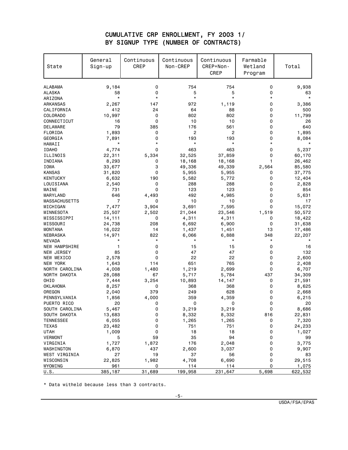#### CUMULATIVE CRP ENROLLMENT, FY 2003 1/ BY SIGNUP TYPE (NUMBER OF CONTRACTS)

| State                | General<br>Sign-up | Continuous<br><b>CREP</b> | Continuous<br>Non-CREP | Continuous<br>CREP+Non-<br>CREP | Farmable<br>Wetland<br>Program | Total   |
|----------------------|--------------------|---------------------------|------------------------|---------------------------------|--------------------------------|---------|
| <b>ALABAMA</b>       | 9,184              | 0                         | 754                    | 754                             | 0                              | 9,938   |
| <b>ALASKA</b>        | 58                 | $\mathbf 0$               | 5                      | 5                               | 0                              | 63      |
| ARIZONA              | $\star$            | $\star$                   | $\star$                | $\star$                         | $\star$                        | $\star$ |
| ARKANSAS             | 2,267              | 147                       | 972                    | 1,119                           | 0                              | 3,386   |
| CALIFORNIA           | 412                | 24                        | 64                     | 88                              | 0                              | 500     |
| <b>COLORADO</b>      | 10,997             | $\mathbf 0$               | 802                    | 802                             | 0                              | 11,799  |
| CONNECTICUT          | 16                 | $\mathbf 0$               | 10                     | 10                              | 0                              | 26      |
| DELAWARE             | 79                 | 385                       | 176                    | 561                             | 0                              | 640     |
| FLORIDA              | 1,893              | 0                         | $\overline{c}$         | 2                               | 0                              | 1,895   |
| GEORGIA              | 7,891              | $\mathbf 0$               | 193                    | 193                             | 0                              | 8,084   |
| HAWAII               | $\star$            | *                         | $\star$                | $\star$                         | $^\star$                       |         |
| <b>IDAHO</b>         | 4,774              | $\mathbf 0$               | 463                    | 463                             | 0                              | 5,237   |
| ILLINOIS             | 22,311             | 5,334                     | 32,525                 | 37,859                          | 0                              | 60,170  |
| INDIANA              | 8,293              | 0                         | 18,168                 | 18,168                          | 1                              | 26,462  |
| IOWA                 | 33,677             | 3                         | 49,336                 | 49,339                          | 2,564                          | 85,580  |
| <b>KANSAS</b>        | 31,820             | $\Omega$                  | 5,955                  | 5,955                           | 0                              | 37,775  |
| <b>KENTUCKY</b>      | 6,632              | 190                       | 5,582                  | 5,772                           | 0                              | 12,404  |
| LOUISIANA            | 2,540              | 0                         | 288                    | 288                             | 0                              | 2,828   |
| MAINE                | 731                | $\mathbf 0$               | 123                    | 123                             | 0                              | 854     |
| MARYLAND             | 646                | 4,493                     | 492                    | 4,985                           | 0                              | 5,631   |
| <b>MASSACHUSETTS</b> | $\overline{7}$     | 0                         | 10                     | 10                              | 0                              | 17      |
| MICHIGAN             | 7,477              | 3,904                     | 3,691                  | 7,595                           | 0                              | 15,072  |
| MINNESOTA            | 25,507             | 2,502                     | 21,044                 | 23,546                          | 1,519                          | 50,572  |
| MISSISSIPPI          | 14,111             | 0                         | 4,311                  | 4,311                           | 0                              | 18,422  |
| MISSOURI             | 24,738             | 208                       | 6,692                  | 6,900                           | 0                              | 31,638  |
| <b>MONTANA</b>       | 16,022             | 14                        | 1,437                  | 1,451                           | 13                             | 17,486  |
| NEBRASKA             | 14,971             | 822                       | 6,066                  | 6,888                           | 348                            | 22,207  |
| <b>NEVADA</b>        |                    | $\star$                   | $\star$                | $\star$                         | $^\star$                       |         |
| <b>NEW HAMPSHIRE</b> | 1                  | 0                         | 15                     | 15                              | 0                              | 16      |
| NEW JERSEY           | 85                 | $\mathbf 0$               | 47                     | 47                              | 0                              | 132     |
| NEW MEXICO           | 2,578              | $\mathbf 0$               | 22                     | 22                              | 0                              | 2,600   |
| <b>NEW YORK</b>      | 1,643              | 114                       | 651                    | 765                             | 0                              | 2,408   |
| NORTH CAROLINA       | 4,008              | 1,480                     | 1,219                  | 2,699                           | 0                              | 6,707   |
| NORTH DAKOTA         | 28,088             | 67                        | 5,717                  | 5,784                           | 437                            | 34,309  |
| OHI <sub>0</sub>     | 7,444              | 3,254                     | 10,893                 | 14,147                          | 0                              | 21,591  |
| <b>OKLAHOMA</b>      | 8,257              | 0                         | 368                    | 368                             | 0                              | 8,625   |
| OREGON               | 2,040              | 379                       | 249                    | 628                             | 0                              | 2,668   |
| PENNSYLVANIA         | 1,856              | 4,000                     | 359                    | 4,359                           | 0                              | 6,215   |
| PUERTO RICO          | 20                 | $\mathbf 0$               | 0                      | 0                               | 0                              | 20      |
| SOUTH CAROLINA       | 5,467              | $\pmb{0}$                 | 3,219                  | 3,219                           | 0                              | 8,686   |
| SOUTH DAKOTA         | 13,683             | 0                         | 8,332                  | 8,332                           | 816                            | 22,831  |
| TENNESSEE            | 6,055              | 0                         | 1,265                  | 1,265                           | 0                              | 7,320   |
| <b>TEXAS</b>         | 23,482             | 0                         | 751                    | 751                             | 0                              | 24,233  |
| UTAH                 | 1,009              | 0                         | 18                     | 18                              | 0                              | 1,027   |
| VERMONT              | 5                  | 59                        | 35                     | 94                              | 0                              | 99      |
| VIRGINIA             | 1,727              | 1,872                     | 176                    | 2,048                           | 0                              | 3,775   |
| WASHINGTON           | 6,870              | 437                       | 2,600                  | 3,037                           | 0                              | 9,907   |
| WEST VIRGINIA        | 27                 | 19                        | 37                     | 56                              | 0                              | 83      |
| WISCONSIN            | 22,825             | 1,982                     | 4,708                  | 6,690                           | 0                              | 29,515  |
| WYOMING              | 961                | 0                         | <u>114</u>             | 114                             | 0                              | 1,075   |
| U.S.                 | 385, 187           | 31,689                    | 199,958                | 231,647                         | 5,698                          | 622,532 |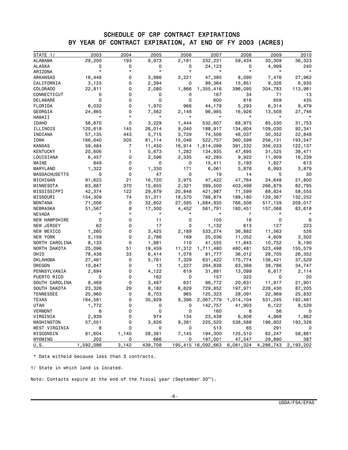#### SCHEDULE OF CRP CONTRACT EXPIRATIONS BY YEAR OF CONTRACT EXPIRATION, AT END OF FY 2003 (ACRES)

| STATE 1/         | 2003      | 2004  | 2005             | 2006     | 2007               | 2008      | 2009      | 2010      |
|------------------|-----------|-------|------------------|----------|--------------------|-----------|-----------|-----------|
| ALABAMA          | 29,200    | 193   | 8,973            | 2,181    | 232,231            | 59,434    | 30,309    | 36,323    |
| ALASKA           |           | 0     | 0                | 0        | 24,123             | 0         | 4,999     | 240       |
| ARIZONA          |           |       |                  |          |                    |           |           |           |
| ARKANSAS         | 16,448    | 0     | 3,986            | 3,221    | 47,385             | 8,090     | 7,476     | 27,962    |
| CALIFORNIA       | 3,123     | 0     | 2,394            | 0        | 99,364             | 15,851    | 9,326     | 6,935     |
| COLORADO         | 22,811    | 0     | 2,080            | 1,866    | 1,355,416          | 396,095   | 304,783   | 113,981   |
| CONNECTICUT      | 0         | 0     | 0                | 0        | 167                | 34        | 71        | 13        |
| DELAWARE         | 0         | 0     | 0                | 0        | 600                | 616       | 659       | 435       |
| FLORIDA          | 6,032     | 0     | 1,970            | 966      | 44,179             | 5,293     | 6,314     | 9,479     |
| GEORGIA          | 24,865    | 0     | 7,562            | 2,148    | 96,985             | 16,926    | 13,508    | 27,746    |
| HAWAII           |           | *     | $^\star$         | $^\star$ | $^\star$           | $^\star$  |           |           |
| <b>IDAHO</b>     | 56,670    | 0     | 3,229            | 1,444    | 532,607            | 68,975    | 85,530    | 31,753    |
| ILLINOIS         | 120,618   | 145   | 26,014           | 9,040    | 188,917            | 134,604   | 109,030   | 92,341    |
| INDIANA          | 57,135    | 443   | 5,715            | 3,729    | 74,506             | 46,037    | 30,352    | 22,848    |
| IOWA             | 166,640   | 505   | 61,114           | 15,046   | 522,757            | 360,599   | 256,131   | 193,547   |
| KANSAS           | 59,484    | 7     | 11,450           | 16,914   | 1,614,099          | 391,232   | 356,033   | 122,137   |
| KENTUCKY         | 20,606    | 1.    | 5,673            | 1,282    | 134,935            | 47,695    | 31,525    | 38,471    |
| LOUISIANA        | 6,457     | 0     | 2,596            | 2,335    | 42,285             | 9,922     | 11,909    | 16,239    |
| MAINE            | 849       | 0     | 0                | 0        | 15,411             | 5,193     | 1,827     | 613       |
| MARYLAND         | 1,322     | 0     | 1,330            | 171      | 6,061              | 5,876     | 6,993     | 3,879     |
| MASSACHUSETTS    | 0         | 0     | 47               | 0        | 19                 | 14        | 5         | 30        |
| MICHIGAN         | 91,623    | 21    | 16,720           | 2,975    | 47,422             | 47,764    | 24,648    | 21,800    |
| MINNESOTA        | 63,887    | 370   | 15,655           | 2,321    | 399,500            | 403,498   | 266,879   | 82,795    |
| MISSISSIPPI      | 42,374    | 122   | 29,679           | 20,848   | 421,987            | 71,599    | 68,824    | 58,555    |
| MISSOURI         | 154,309   | 74    | 51,311           | 18,570   | 788,874            | 188,180   | 129,367   | 132,252   |
| MONTANA          | 71,006    | 0     | 32,602           | 27,595   | 1,684,935          | 766,506   | 517,159   | 209,017   |
| NEBRASKA         | 51,567    | 8     | 17,500           | 4,452    | 561,791            | 180,451   | 157,068   | 83,618    |
| NEVADA           |           |       |                  |          |                    |           |           |           |
| NEW HAMPSHIRE    | 0         | 0     | 11               | 0        | 105                | 16        | 0         | 6         |
| NEW JERSEY       | 62        | 0     | 17               | 0        | 1,132              | 613       | 127       | 223       |
| NEW MEXICO       | 1,260     | 0     | 3,425            | 2,189    | 533,274            | 36,882    | 11,563    | 526       |
| NEW YORK         | 5,159     | 0     | 2,786            | 169      | 25,036             | 11,052    | 4,609     | 3,502     |
| NORTH CAROLINA   | 8,133     | 0     | 1,981            | 110      | 41,555             | 11,843    | 10,752    | 9,190     |
| NORTH DAKOTA     | 25,096    | 51    | 19,459           | 11,312   | 1,711,480          | 480,481   | 523,498   | 155,579   |
| OHIO             | 78,438    | 33    | 6,414            | 1,078    | 81,777             | 36,012    | 28,705    | 26,352    |
| OKLAHOMA         | 27,461    | 0     | 5,761            | 7,329    | 631,422            | 175,774   | 136,421   | 37,529    |
| OREGON           | 10,847    | 0     | 13               | 1,227    | 294,838            | 63,368    | 38,786    | 34,747    |
| PENNSYLVANIA     | 2,694     | 0     | 4,122            | 619      | 31,881             | 13,099    | 6,617     | 2,114     |
| PUERTO RICO      | 0         | 0     | 162              | 0        | 157                | 322       | 0         | 20        |
| SOUTH CAROLINA   | 8,469     | 0     | 3,497            | 631      | 96,772             | 20,631    | 11,917    | 21,901    |
| SOUTH DAKOTA     | 23,326    | 29    |                  | 6,629    |                    | 197,971   |           |           |
| <b>TENNESSEE</b> |           | 0     | 8,182            | 965      | 729,852            |           | 228,430   | 87,205    |
|                  | 25,960    | 0     | 6,703            |          | 125,323            | 28,091    | 22,969    | 25,832    |
| TEXAS            | 164,581   |       | 35,929           | 9,396    | 2,067,779          | 1,014,104 | 531,245   | 192,481   |
| UTAH             | 1,772     | U     | U<br>$\mathsf 0$ | U        | 142,757            | 41,903    | 6,122     | 8,529     |
| VERMONT          | 6         | 0     |                  | 0        | 160                | 8         | 56        | 0         |
| VIRGINIA         | 2,939     | 0     | 974              | 134      | 23,438             | 6,808     | 4,968     | 1,862     |
| WASHINGTON       | 57,051    | 0     | 3,626            | 9,381    | 225,520            | 538,588   | 196,802   | 193,326   |
| WEST VIRGINIA    | 8         | 0     | 0                | 0        | 513                | 65        | 291       | 0         |
| WISCONSIN        | 81,604    | 1,140 | 28,381           | 7,145    | 194,300            | 125,510   | 62,247    | 58,881    |
| WYOMING          | 202       | 0     | 666              | 0        | 197,001            | 47,547    | 29,890    | 387       |
| U.S.             | 1,592,096 | 3,142 | 439,708          |          | 195,415 16,092,663 | 6,081,324 | 4,286,743 | 2,193,202 |

\* Data witheld because less than 3 contracts.

1/ State in which land is located.

Note: Contacts expire at the end of the fiscal year (September  $30<sup>th</sup>$ ).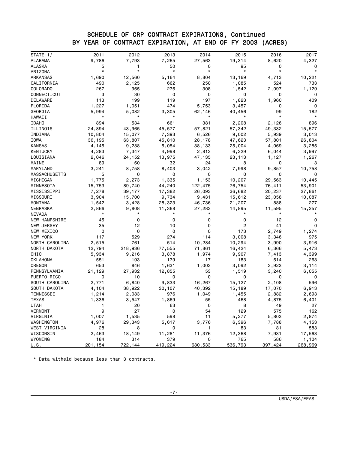#### SCHEDULE OF CRP CONTRACT EXPIRATIONS, Continued BY YEAR OF CONTRACT EXPIRATION, AT END OF FY 2003 (ACRES)

| STATE 1/<br>ALABAMA<br>9,786<br>7,793<br>7,265<br>27,563<br>19,314<br>8,620<br>ALASKA<br>5<br>50<br>0<br>95<br>0<br>1<br>$\star$<br>$\star$<br>$\star$<br>$\star$<br>$\star$<br>$\star$<br>ARIZONA<br>ARKANSAS<br>1,690<br>12,560<br>5,164<br>13,169<br>8,804<br>4,713<br>CALIFORNIA<br>524<br>490<br>2,125<br>662<br>250<br>1,085<br>267<br>965<br>276<br>308<br>2,097<br>COLORADO<br>1,542<br>CONNECTICUT<br>3<br>30<br>0<br>0<br>0<br>0<br>197<br><b>DELAWARE</b><br>113<br>199<br>119<br>1,823<br>1,960<br>FLORIDA<br>1,227<br>474<br>5,753<br>1,051<br>3,457<br>0<br>GEORGIA<br>99<br>5,994<br>5,082<br>3,305<br>62,146<br>40,456<br>$\star$<br>$^\star$<br>$^\star$<br>$^\star$<br>$^\star$<br>HAWAII<br>894<br>534<br>661<br>381<br>2,208<br>2,126<br><b>IDAHO</b><br>24,894<br>43,965<br>45,577<br>57,821<br>57,342<br>49,332<br>ILLINOIS<br>INDIANA<br>10,804<br>15,077<br>7,393<br>6,526<br>9,002<br>5,939<br>IOWA<br>63,807<br>45,810<br>47,623<br>57,801<br>36,195<br>28,178 | 2017   |
|------------------------------------------------------------------------------------------------------------------------------------------------------------------------------------------------------------------------------------------------------------------------------------------------------------------------------------------------------------------------------------------------------------------------------------------------------------------------------------------------------------------------------------------------------------------------------------------------------------------------------------------------------------------------------------------------------------------------------------------------------------------------------------------------------------------------------------------------------------------------------------------------------------------------------------------------------------------------------------------|--------|
|                                                                                                                                                                                                                                                                                                                                                                                                                                                                                                                                                                                                                                                                                                                                                                                                                                                                                                                                                                                          | 4,327  |
|                                                                                                                                                                                                                                                                                                                                                                                                                                                                                                                                                                                                                                                                                                                                                                                                                                                                                                                                                                                          |        |
|                                                                                                                                                                                                                                                                                                                                                                                                                                                                                                                                                                                                                                                                                                                                                                                                                                                                                                                                                                                          |        |
|                                                                                                                                                                                                                                                                                                                                                                                                                                                                                                                                                                                                                                                                                                                                                                                                                                                                                                                                                                                          | 10,221 |
|                                                                                                                                                                                                                                                                                                                                                                                                                                                                                                                                                                                                                                                                                                                                                                                                                                                                                                                                                                                          | 733    |
|                                                                                                                                                                                                                                                                                                                                                                                                                                                                                                                                                                                                                                                                                                                                                                                                                                                                                                                                                                                          | 1,129  |
|                                                                                                                                                                                                                                                                                                                                                                                                                                                                                                                                                                                                                                                                                                                                                                                                                                                                                                                                                                                          | 0      |
|                                                                                                                                                                                                                                                                                                                                                                                                                                                                                                                                                                                                                                                                                                                                                                                                                                                                                                                                                                                          | 409    |
|                                                                                                                                                                                                                                                                                                                                                                                                                                                                                                                                                                                                                                                                                                                                                                                                                                                                                                                                                                                          | 0      |
|                                                                                                                                                                                                                                                                                                                                                                                                                                                                                                                                                                                                                                                                                                                                                                                                                                                                                                                                                                                          | 182    |
|                                                                                                                                                                                                                                                                                                                                                                                                                                                                                                                                                                                                                                                                                                                                                                                                                                                                                                                                                                                          |        |
|                                                                                                                                                                                                                                                                                                                                                                                                                                                                                                                                                                                                                                                                                                                                                                                                                                                                                                                                                                                          | 896    |
|                                                                                                                                                                                                                                                                                                                                                                                                                                                                                                                                                                                                                                                                                                                                                                                                                                                                                                                                                                                          | 15,577 |
|                                                                                                                                                                                                                                                                                                                                                                                                                                                                                                                                                                                                                                                                                                                                                                                                                                                                                                                                                                                          | 3,013  |
|                                                                                                                                                                                                                                                                                                                                                                                                                                                                                                                                                                                                                                                                                                                                                                                                                                                                                                                                                                                          | 26,804 |
| <b>KANSAS</b><br>9,288<br>5,054<br>4,145<br>38,133<br>25,004<br>4,069                                                                                                                                                                                                                                                                                                                                                                                                                                                                                                                                                                                                                                                                                                                                                                                                                                                                                                                    | 3,285  |
| <b>KENTUCKY</b><br>7,347<br>4,998<br>4,283<br>2,813<br>6,329<br>6,044                                                                                                                                                                                                                                                                                                                                                                                                                                                                                                                                                                                                                                                                                                                                                                                                                                                                                                                    | 3,997  |
| 1,127<br>LOUISIANA<br>2,046<br>24,152<br>13,975<br>47,135<br>23,113                                                                                                                                                                                                                                                                                                                                                                                                                                                                                                                                                                                                                                                                                                                                                                                                                                                                                                                      | 1,267  |
| MAINE<br>89<br>60<br>24<br>32<br>8<br>0                                                                                                                                                                                                                                                                                                                                                                                                                                                                                                                                                                                                                                                                                                                                                                                                                                                                                                                                                  | 3      |
| MARYLAND<br>3,241<br>8,758<br>8,403<br>7,998<br>3,042<br>9,857                                                                                                                                                                                                                                                                                                                                                                                                                                                                                                                                                                                                                                                                                                                                                                                                                                                                                                                           | 10,758 |
| <b>MASSACHUSETTS</b><br>5<br>0<br>0<br>0<br>0<br>0                                                                                                                                                                                                                                                                                                                                                                                                                                                                                                                                                                                                                                                                                                                                                                                                                                                                                                                                       |        |
| 2,273<br>MICHIGAN<br>1,775<br>1,335<br>1,153<br>10,207<br>29,563                                                                                                                                                                                                                                                                                                                                                                                                                                                                                                                                                                                                                                                                                                                                                                                                                                                                                                                         | 10,445 |
| 15,753<br>44,240<br>MINNESOTA<br>89,740<br>122,475<br>76,754<br>76,411                                                                                                                                                                                                                                                                                                                                                                                                                                                                                                                                                                                                                                                                                                                                                                                                                                                                                                                   | 53,901 |
| 7,278<br>17,382<br>26,093<br>36,682<br>MISSISSIPPI<br>39,177<br>20,237                                                                                                                                                                                                                                                                                                                                                                                                                                                                                                                                                                                                                                                                                                                                                                                                                                                                                                                   | 27,861 |
| 9,734<br>MISSOURI<br>3,904<br>15,700<br>9,431<br>15,612<br>23,058                                                                                                                                                                                                                                                                                                                                                                                                                                                                                                                                                                                                                                                                                                                                                                                                                                                                                                                        | 10,087 |
| 28,323<br>MONTANA<br>1,542<br>3,428<br>46,736<br>21,207<br>888                                                                                                                                                                                                                                                                                                                                                                                                                                                                                                                                                                                                                                                                                                                                                                                                                                                                                                                           | 277    |
| 2,866<br>11,368<br>11,595<br>NEBRASKA<br>9,808<br>27,283<br>14,895                                                                                                                                                                                                                                                                                                                                                                                                                                                                                                                                                                                                                                                                                                                                                                                                                                                                                                                       | 15,257 |
| $^\star$<br>$^\star$<br>*<br><b>NEVADA</b>                                                                                                                                                                                                                                                                                                                                                                                                                                                                                                                                                                                                                                                                                                                                                                                                                                                                                                                                               |        |
| NEW HAMPSHIRE<br>0<br>12<br>45<br>0<br>0<br>0                                                                                                                                                                                                                                                                                                                                                                                                                                                                                                                                                                                                                                                                                                                                                                                                                                                                                                                                            | 0      |
| 35<br>12<br>10<br>2<br>41<br>NEW JERSEY<br>0                                                                                                                                                                                                                                                                                                                                                                                                                                                                                                                                                                                                                                                                                                                                                                                                                                                                                                                                             | 0      |
| 0<br>0<br>NEW MEXICO<br>0<br>0<br>173<br>2,749                                                                                                                                                                                                                                                                                                                                                                                                                                                                                                                                                                                                                                                                                                                                                                                                                                                                                                                                           | 1,274  |
| NEW YORK<br>117<br>529<br>274<br>114<br>3,008<br>3,346                                                                                                                                                                                                                                                                                                                                                                                                                                                                                                                                                                                                                                                                                                                                                                                                                                                                                                                                   | 975    |
| 761<br>NORTH CAROLINA<br>2,515<br>514<br>10,284<br>10,294<br>3,990                                                                                                                                                                                                                                                                                                                                                                                                                                                                                                                                                                                                                                                                                                                                                                                                                                                                                                                       | 3,916  |
| NORTH DAKOTA<br>12,794<br>218,936<br>77,555<br>71,861<br>16,424<br>6,366                                                                                                                                                                                                                                                                                                                                                                                                                                                                                                                                                                                                                                                                                                                                                                                                                                                                                                                 | 5,473  |
| OHIO<br>5,934<br>9,216<br>3,878<br>9,907<br>7,413<br>1,974                                                                                                                                                                                                                                                                                                                                                                                                                                                                                                                                                                                                                                                                                                                                                                                                                                                                                                                               | 4,399  |
| 551<br>193<br>179<br>17<br>514<br>OKLAHOMA<br>183                                                                                                                                                                                                                                                                                                                                                                                                                                                                                                                                                                                                                                                                                                                                                                                                                                                                                                                                        | 263    |
| OREGON<br>653<br>846<br>1,631<br>1,003<br>3,923<br>3,092                                                                                                                                                                                                                                                                                                                                                                                                                                                                                                                                                                                                                                                                                                                                                                                                                                                                                                                                 | 3,114  |
| 21,129<br>27,932<br>12,855<br>53<br>1,519<br>PENNSYLVANIA<br>3,240                                                                                                                                                                                                                                                                                                                                                                                                                                                                                                                                                                                                                                                                                                                                                                                                                                                                                                                       | 6,055  |
| PUERTO RICO<br>0<br>0<br>10<br>0<br>0<br>0                                                                                                                                                                                                                                                                                                                                                                                                                                                                                                                                                                                                                                                                                                                                                                                                                                                                                                                                               | 0      |
| SOUTH CAROLINA<br>2,771<br>6,840<br>9,833<br>16,267<br>15,127<br>2,108                                                                                                                                                                                                                                                                                                                                                                                                                                                                                                                                                                                                                                                                                                                                                                                                                                                                                                                   | 596    |
| SOUTH DAKOTA<br>4,104<br>38,922<br>30,107<br>40,392<br>15,189<br>17,070                                                                                                                                                                                                                                                                                                                                                                                                                                                                                                                                                                                                                                                                                                                                                                                                                                                                                                                  | 6,913  |
| <b>TENNESSEE</b><br>1,214<br>2,083<br>976<br>1,049<br>1,455<br>2,882                                                                                                                                                                                                                                                                                                                                                                                                                                                                                                                                                                                                                                                                                                                                                                                                                                                                                                                     | 2,693  |
| <b>TEXAS</b><br>1,336<br>3,547<br>1,869<br>55<br>468<br>4,875                                                                                                                                                                                                                                                                                                                                                                                                                                                                                                                                                                                                                                                                                                                                                                                                                                                                                                                            | 6,401  |
| <b>UTAH</b><br>20<br>63<br>0<br>8<br>49<br>1                                                                                                                                                                                                                                                                                                                                                                                                                                                                                                                                                                                                                                                                                                                                                                                                                                                                                                                                             | 27     |
| 9<br>27<br><b>VERMONT</b><br>0<br>54<br>129<br>575                                                                                                                                                                                                                                                                                                                                                                                                                                                                                                                                                                                                                                                                                                                                                                                                                                                                                                                                       | 162    |
| VIRGINIA<br>1,007<br>1,535<br>598<br>11<br>5,277<br>5,803                                                                                                                                                                                                                                                                                                                                                                                                                                                                                                                                                                                                                                                                                                                                                                                                                                                                                                                                | 2,874  |
| 3,776<br>6,396<br>WASHINGTON<br>4,976<br>29,343<br>5,617<br>7,788                                                                                                                                                                                                                                                                                                                                                                                                                                                                                                                                                                                                                                                                                                                                                                                                                                                                                                                        | 4,153  |
| WEST VIRGINIA<br>28<br>8<br>0<br>1<br>83<br>81                                                                                                                                                                                                                                                                                                                                                                                                                                                                                                                                                                                                                                                                                                                                                                                                                                                                                                                                           | 583    |
| WISCONSIN<br>11,281<br>2,463<br>18,149<br>11,376<br>12,368<br>7,931                                                                                                                                                                                                                                                                                                                                                                                                                                                                                                                                                                                                                                                                                                                                                                                                                                                                                                                      | 17,563 |
| <b>WYOMING</b><br>184<br>314<br>765<br>586<br>379<br>0                                                                                                                                                                                                                                                                                                                                                                                                                                                                                                                                                                                                                                                                                                                                                                                                                                                                                                                                   |        |
| 680,533<br>U.S.<br>201,154<br><u>722,144</u><br>419,224<br><u>536,793</u><br>397,424<br>268,969                                                                                                                                                                                                                                                                                                                                                                                                                                                                                                                                                                                                                                                                                                                                                                                                                                                                                          | 1,104  |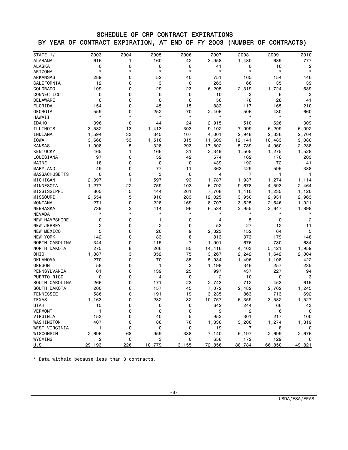## SCHEDULE OF CRP CONTRACT EXPIRATIONS BY YEAR OF CONTRACT EXPIRATION, AT END OF FY 2003 (NUMBER OF CONTRACTS)

| STATE 1/             | 2003        | 2004     | 2005        | 2006           | 2007           | 2008                           | 2009     | 2010              |
|----------------------|-------------|----------|-------------|----------------|----------------|--------------------------------|----------|-------------------|
| <b>ALABAMA</b>       | 616         | 1        | 160         | 42             | 3,958          | 1,480                          | 689      | 777               |
| <b>ALASKA</b>        | 0           | 0        | 0           | 0              | 41             | 0                              | 16       | 2                 |
| ARIZONA              | $\star$     | *        | $\star$     | $\star$        | $\star$        | $\star$                        | $\star$  | $\star$           |
| ARKANSAS             | 289         | 0        | 52          | 40             | 751            | 165                            | 154      | 446               |
| CALIFORNIA           | 12          | 0        | 3           | 0              | 263            | 66                             | 35       | 39                |
| COLORADO             | 109         | 0        | 29          | 23             | 6,205          | 2,319                          | 1,724    | 689               |
| CONNECTICUT          | 0           | 0        | 0           | 0              | 10             | 3                              | 6        | 3                 |
| DELAWARE             | 0           | 0        | $\mathbf 0$ | $\mathbf 0$    | 56             | 78                             | 28       | 41                |
| FLORIDA              | 154         | 0        | 45          | 15             | 883            | 117                            | 165      | 210               |
| GEORGIA              | 559         | 0        | 252         | 70             | 2,406          | 506                            | 430      | 660               |
| HAWAII               | $\star$     | *        | $^\star$    | $\star$        | $\star$        | $\star$                        | $\star$  |                   |
| <b>IDAHO</b>         | 396         | 0        | 44          | 24             | 2,915          | 510                            | 626      | 309               |
| ILLINOIS             | 3,582       | 13       | 1,413       | 303            | 9,102          | 7,099                          | 6,209    | 6,092             |
| INDIANA              | 1,594       | 33       | 345         | 107            | 4,001          | 2,948                          | 2,336    | 2,704             |
| IOWA                 | 3,668       | 53       | 1,516       | 315            | 11,609         | 12,141                         | 10,483   | 9,080             |
| <b>KANSAS</b>        | 1,008       | 5        | 328         | 293            | 17,802         | 5,789                          | 4,960    | 2,288             |
| KENTUCKY             | 465         | 1        | 166         | 31             | 3,349          | 1,505                          | 1,275    | 1,528             |
| LOUISIANA            | 97          | 0        | 52          | 42             | 574            | 162                            | 170      | 203               |
| MAINE                | 18          | 0        | 0           | 0              | 439            | 192                            | 72       | 41                |
| MARYLAND             | 49          | 0        | 77          | 11             | 363            | 429                            | 595      | 388               |
| <b>MASSACHUSETTS</b> | $\mathbf 0$ | 0        | 3           | $\mathbf 0$    | 4              | $\overline{7}$                 | 1        | 1                 |
| MICHIGAN             | 2,397       | 1        | 597         | 93             | 1,787          | 1,937                          | 1,274    | 1,114             |
| MINNESOTA            | 1,277       | 22       | 759         | 103            | 6,792          | 9,678                          | 4,593    | 2,464             |
| MISSISSIPPI          | 805         | 5        | 444         | 261            | 7,708          | 1,410                          | 1,235    | 1,120             |
| MISSOURI             | 2,554       | 5        | 910         | 283            | 12,025         | 3,950                          | 2,931    | 2,963             |
| <b>MONTANA</b>       | 271         | 0        | 228         | 169            | 8,707          | 3,625                          | 2,646    | 1,021             |
| NEBRASKA             | 739         | 2        | 414         | 96             | 6,534          | 2,955                          | 2,647    | 1,898             |
| <b>NEVADA</b>        | $\star$     | *        | $\star$     | $\star$        | $^\star$       | $^\star$                       | $^\star$ |                   |
| <b>NEW HAMPSHIRE</b> | 0           | 0        | 1           | 0              | 4              | 5                              | 0        | 2                 |
| NEW JERSEY           | 2           | 0        | 2           | 0              | 53             | 27                             | 12       | 11                |
| NEW MEXICO           | 5           | 0        | 20          | 9              | 2,323          | 152                            | 64       | 5                 |
| NEW YORK             | 142         | 0        | 83          | 8              | 813            | 373                            | 179      | 148               |
| NORTH CAROLINA       | 344         | 0        | 115         | 7              | 1,901          | 676                            | 730      | 634               |
| NORTH DAKOTA         | 275         | 8        | 266         | 85             | 14,416         | 4,403                          | 5,421    | 1,959             |
| OHIO                 | 1,887       | 3        | 352         | 75             | 3,267          | 2,242                          | 1,642    | 2,004             |
| OKLAHOMA             | 270         | 0        | 70          | 85             | 5,034          | 1,496                          | 1,108    | 422               |
| OREGON               | 58          | 0        | 1           | $\overline{c}$ | 1,198          | 346                            | 257      | 235               |
| PENNSYLVANIA         | 61          | 0        | 139         | 25             | 997            | 437                            | 227      | 94                |
| PUERTO RICO          | 0           | 0        | 4           | $\mathbf 0$    | $\overline{c}$ | 10                             | 0        | 3                 |
| SOUTH CAROLINA       | 266         | 0        | 171         | 23             | 2,743          | 712                            | 453      | 615               |
| SOUTH DAKOTA         | 200         | 6        | 157         | 45             | 7,072          | 2,482                          | 2,762    | 1,245             |
| <b>TENNESSEE</b>     | 586         | 0        | 191         | 19             | 3,235          | 863                            | 713      | 692               |
| <b>TEXAS</b>         |             | 0        | 282         | 32             |                | 6,359                          | 3,582    | 1,527             |
|                      | 1,163       |          | 0           | 0              | 10,757         |                                |          |                   |
| UTAH                 | 15<br>1     | 0        | 0           | 0              | 642<br>9       | 244<br>$\overline{\mathbf{c}}$ | 66<br>6  | 43<br>$\mathbf 0$ |
| VERMONT              |             |          |             |                |                |                                |          |                   |
| VIRGINIA             | 153         | 0        | 40          | 5              | 952            | 301                            | 217      | 100               |
| WASHINGTON           | 407         | 0        | 86          | 76             | 1,336          | 3,206                          | 1,274    | 1,319             |
| WEST VIRGINIA        | 1           | 0        | 0           | 0              | 19             | 7                              | 8        | 0                 |
| WISCONSIN<br>WYOMING | 2,696       | 68       | 959         | 338            | 7,140          | 5,197                          | 2,699    | 2,676             |
|                      | 2           | 0<br>226 | 3           | 0              | 658<br>172,856 | 172                            | 129      | 6                 |
| U.S.                 | 29,193      |          | 10,779      | 3,155          |                | 88,784                         | 66,850   | 49,821            |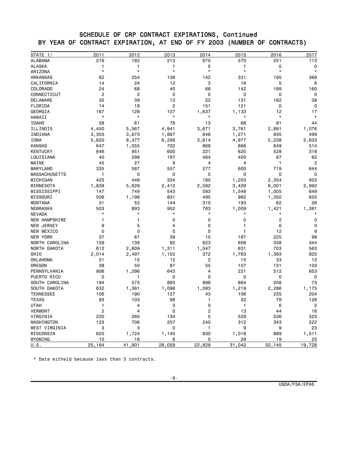#### SCHEDULE OF CRP CONTRACT EXPIRATIONS, Continued BY YEAR OF CONTRACT EXPIRATION, AT END OF FY 2003 (NUMBER OF CONTRACTS)

| STATE $1/$           | 2011                    | 2012    | 2013         | 2014        | 2015         | 2016    | 2017           |
|----------------------|-------------------------|---------|--------------|-------------|--------------|---------|----------------|
| <b>ALABAMA</b>       | 216                     | 182     | 213          | 670         | 570          | 251     | 113            |
| <b>ALASKA</b>        | 1                       | 1       | 1            | 0           | 1            | 0       | 0              |
| ARIZONA              | $\star$                 | $\star$ | $\star$      | $\star$     | $^\star$     | $\star$ | $\star$        |
| ARKANSAS             | 62                      | 254     | 136          | 142         | 331          | 195     | 369            |
| CALIFORNIA           | 14                      | 24      | 12           | 3           | 18           | 5       | 6              |
| COLORADO             | 24                      | 68      | 40           | 68          | 142          | 199     | 160            |
| CONNECTICUT          | $\overline{c}$          | 2       | 0            | $\mathbf 0$ | $\mathbf 0$  | 0       | 0              |
| DELAWARE             | 32                      | 39      | 13           | 22          | 131          | 162     | 38             |
| FLORIDA              | 14                      | 18      | $\mathbf{2}$ | 151         | 121          | 0       | 0              |
| GEORGIA              | 167                     | 128     | 107          | 1,637       | 1,133        | 12      | 17             |
| HAWAII               | $\star$                 | $\star$ | $\star$      | $\star$     | $\star$      | $\star$ |                |
| <b>IDAHO</b>         | 58                      | 61      | 78           | 13          | 68           | 91      | 44             |
| ILLINOIS             | 4,450                   | 5,567   | 4,941        | 3,671       | 3,761        | 2,891   | 1,076          |
| INDIANA              | 3,303                   | 3,673   | 1,867        | 846         | 1,271        | 935     | 499            |
| <b>IOWA</b>          | 5,620                   | 8,377   | 6,256        | 3,614       | 4,977        | 5,238   | 2,633          |
| <b>KANSAS</b>        | 647                     | 1,055   | 702          | 869         | 866          | 649     | 514            |
| <b>KENTUCKY</b>      | 846                     | 951     | 600          | 221         | 620          | 528     | 318            |
| LOUISIANA            | 40                      | 298     | 197          | 464         | 400          | 67      | 62             |
| MAINE                | 45                      | 27      | 9            | 4           | 4            | 1       | $\overline{2}$ |
| MARYLAND             | 335                     | 587     | 557          | 277         | 600          | 719     | 644            |
| <b>MASSACHUSETTS</b> | 1                       | 0       | 0            | 0           | $\mathbf 0$  | 0       | $\Omega$       |
| MICHIGAN             | 425                     | 448     | 334          | 185         | 1,203        | 2,354   | 923            |
| MINNESOTA            | 1,839                   | 5,629   | 2,412        | 2,582       | 3,429        | 6,001   | 2,992          |
| MISSISSIPPI          | 147                     | 749     | 543          | 593         | 1,548        | 1,005   | 849            |
| MISSOURI             | 506                     | 1,198   | 831          | 495         | 982          | 1,350   | 655            |
| <b>MONTANA</b>       | 31                      | 53      | 144          | 310         | 193          | 62      | 26             |
| NEBRASKA             | 503                     | 893     | 952          | 763         | 1,009        | 1,421   | 1,381          |
| <b>NEVADA</b>        | $\star$                 | $\star$ | $\star$      | *           | $^\star$     | *       |                |
| <b>NEW HAMPSHIRE</b> | 1                       | 1       | 0            | 0           | 0            | 2       | 0              |
| NEW JERSEY           | 9                       | 5       | 4            | 0           | 1            | 6       | 0              |
| NEW MEXICO           | 0                       | 0       | 0            | 0           | 1            | 12      | 9              |
| NEW YORK             | 37                      | 61      | 39           | 15          | 187          | 225     | 98             |
| NORTH CAROLINA       | 159                     | 138     | 92           | 623         | 606          | 338     | 344            |
| NORTH DAKOTA         | 612                     | 2,609   | 1,311        | 1,047       | 631          | 703     | 563            |
| OHIO                 | 2,014                   | 2,497   | 1,155        | 372         | 1,763        | 1,393   | 925            |
| <b>OKLAHOMA</b>      | 51                      | 15      | 12           | 2           | 15           | 33      | 12             |
| OREGON               | 38                      | 50      | 87           | 55          | 107          | 131     | 103            |
| PENNSYLVANIA         | 906                     | 1,296   | 643          | 4           | 221          | 512     | 653            |
| PUERTO RICO          | 0                       | 1       | 0            | 0           | 0            | 0       | 0              |
| SOUTH CAROLINA       | 194                     | 575     | 893          | 896         | 864          | 208     | 73             |
| SOUTH DAKOTA         | 632                     | 1,361   | 1,096        | 1,093       | 1,219        | 2,286   | 1,175          |
| <b>TENNESSEE</b>     | 106                     | 190     | 137          | 43          | 106          | 235     | 204            |
| <b>TEXAS</b>         | 93                      | 103     | 98           | 1           | 32           | 78      | 126            |
| <b>UTAH</b>          | 1                       | 4       | 3            | 0           | $\mathbf{1}$ | 6       | $\overline{c}$ |
| <b>VERMONT</b>       | $\overline{\mathbf{c}}$ | 4       | 0            | 2           | 13           | 44      | 16             |
| VIRGINIA             | 220                     | 260     | 134          | 5           | 529          | 536     | 323            |
| WASHINGTON           | 123                     | 706     | 257          | 240         | 312          | 343     | 222            |
| WEST VIRGINIA        | 3                       | 3       | 0            | 1           | 9            | 9       | 23             |
| WISCONSIN            | 625                     | 1,724   | 1,145        | 830         | 1,018        | 889     | 1,511          |
| WYOMING              | 10                      | 16      | 6            | 0           | 29           | 19      | 25             |
| U.S.                 | 25,164                  | 41,901  | 28,059       | 22,829      | 31,042       | 32,145  | 19,728         |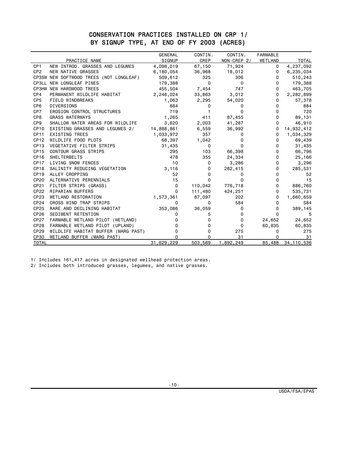### CONSERVATION PRACTICES INSTALLED ON CRP 1/ BY SIGNUP TYPE, AT END OF FY 2003 (ACRES)

|                  |                                         | <b>GENERAL</b> | CONTIN. | CONTIN.      | <b>FARMABLE</b> |              |
|------------------|-----------------------------------------|----------------|---------|--------------|-----------------|--------------|
|                  | PRACTICE NAME                           | SIGNUP         | CREP    | NON-CREP 2/  | WETLAND         | <b>TOTAL</b> |
| CP <sub>1</sub>  | NEW INTROD, GRASSES AND LEGUMES         | 4,098,019      | 67,150  | 71,924       | 0               | 4,237,092    |
| CP <sub>2</sub>  | NEW NATIVE GRASSES                      | 6,180,054      | 36,968  | 18,012       | 0               | 6,235,034    |
|                  | CP3SW NEW SOFTWOOD TREES (NOT LONGLEAF) | 509,612        | 325     | 306          | 0               | 510,243      |
|                  | CP3LL NEW LONGLEAF PINES                | 179,388        | 0       | 0            | 0               | 179,388      |
|                  | CP3HW NEW HARDWOOD TREES                | 455,504        | 7,454   | 747          | 0               | 463,705      |
| CP4              | PERMANENT WILDLIFE HABITAT              | 2,246,024      | 33,863  | 3,012        | 0               | 2,282,899    |
| CP <sub>5</sub>  | FIELD WINDBREAKS                        | 1,063          | 2,295   | 54,020       | 0               | 57,378       |
| CP <sub>6</sub>  | <b>DIVERSIONS</b>                       | 884            | 0       | <sup>0</sup> | 0               | 884          |
| CP7              | <b>EROSION CONTROL STRUCTURES</b>       | 719            |         | 0            | 0               | 720          |
| CP8              | <b>GRASS WATERWAYS</b>                  | 1,265          | 411     | 87,455       | 0               | 89,131       |
| CP <sub>9</sub>  | SHALLOW WATER AREAS FOR WILDLIFE        | 3,620          | 2,003   | 41,287       | 0               | 46,910       |
| CP <sub>10</sub> | EXISTING GRASSES AND LEGUMES 2/         | 14,888,861     | 6,559   | 36,992       | 0               | 14,932,412   |
| <b>CP11</b>      | <b>EXISTING TREES</b>                   | 1,033,972      | 357     | 0            | 0               | 1,034,329    |
| CP <sub>12</sub> | WILDLIFE FOOD PLOTS                     | 68,397         | 1,042   | 0            | 0               | 69,439       |
| CP <sub>13</sub> | <b>VEGETATIVE FILTER STRIPS</b>         | 31,435         | 0       | 0            | 0               | 31,435       |
| CP <sub>15</sub> | <b>CONTOUR GRASS STRIPS</b>             | 295            | 103     | 66,398       | 0               | 66,796       |
| CP <sub>16</sub> | <b>SHELTERBELTS</b>                     | 478            | 355     | 24,334       | 0               | 25,166       |
| CP <sub>17</sub> | <b>LIVING SNOW FENCES</b>               | 10             | 0       | 3,286        | 0               | 3,296        |
| CP <sub>18</sub> | SALINITY REDUCING VEGETATION            | 3,116          | 0       | 282,415      | 0               | 285,531      |
| CP <sub>19</sub> | ALLEY CROPPING                          | 52             | 0       | O            | 0               | 52           |
| <b>CP20</b>      | ALTERNATIVE PERENNIALS                  | 15             | 0       | O            | 0               | 15           |
| CP21             | FILTER STRIPS (GRASS)                   | 0              | 110,042 | 776,718      | 0               | 886,760      |
| CP <sub>22</sub> | RIPARIAN BUFFERS                        | 0              | 111,480 | 424,251      | 0               | 535,731      |
| CP23             | <b>WETLAND RESTORATION</b>              | 1,573,361      | 87,097  | 202          | 0               | 1,660,659    |
| CP <sub>24</sub> | CROSS WIND TRAP STRIPS                  | 0              | 0       | 584          | 0               | 584          |
| CP25             | RARE AND DECLINING HABITAT              | 353,086        | 36,059  | 0            | 0               | 389,145      |
| CP <sub>26</sub> | SEDIMENT RETENTION                      |                | 5       | 0            | $\Omega$        | 5            |
| CP27             | FARMABLE WETLAND PILOT (WETLAND)        |                | 0       | 0            | 24,652          | 24,652       |
| CP <sub>28</sub> | FARMABLE WETLAND PILOT (UPLAND)         |                | 0       | 0            | 60,835          | 60,835       |
| CP29             | WILDLIFE HABITAT BUFFER (MARG PAST)     |                | 0       | 275          | 0               | 275          |
| <b>CP30</b>      | WETLAND BUFFER (MARG PAST)              | n              | 0       | 31           | 0               | 31           |
| <b>TOTAL</b>     |                                         | 31,629,229     | 503,569 | 1,892,249    | 85,488          | 34, 110, 536 |

1/ Includes 161,417 acres in designated wellhead protection areas.

2/ Includes both introduced grasses, legumes, and native grasses.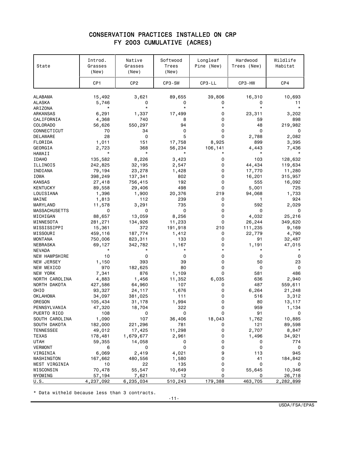## CONSERVATION PRACTICES INSTALLED ON CRP FY 2003 CUMULATIVE (ACRES)

| State                          | Introd.<br>Grasses<br>(New) | Native<br>Grasses<br>(New) | Softwood<br>Trees<br>(New) | Longleaf<br>Pine (New) | Hardwood<br>Trees (New) | Wildlife<br>Habitat |
|--------------------------------|-----------------------------|----------------------------|----------------------------|------------------------|-------------------------|---------------------|
|                                | CP <sub>1</sub>             | CP <sub>2</sub>            | CP3-SW                     | CP3-LL                 | CP3-HW                  | CP4                 |
| <b>ALABAMA</b>                 | 15,492                      | 3,621                      | 89,655                     | 39,806                 | 16,310                  | 10,693              |
| ALASKA                         | 5,746                       | 0                          | 0                          | 0                      | 0                       | 11                  |
| ARIZONA                        | $^\star$                    | $\star$                    | $\star$                    | *                      | $\star$                 | $\star$             |
| ARKANSAS                       | 6,291                       | 1,337                      | 17,499                     | 0                      | 23,311                  | 3,202               |
| CALIFORNIA                     | 4,368                       | 740                        | 8                          | 0                      | 59                      | 898                 |
| COLORADO                       | 56,626                      | 550,297                    | 94                         | 0                      | 48                      | 219,982             |
| CONNECTICUT                    | 70                          | 34                         | 0                          | 0                      | 0                       | 0                   |
| DELAWARE                       | 28                          | 0                          | 5                          | 0                      | 2,788                   | 2,082               |
| FLORIDA                        | 1,011                       | 151                        | 17,758                     | 8,925                  | 899                     | 3,395               |
| GEORGIA                        | 2,723                       | 368                        | 56,234                     | 106,141                | 4,443                   | 7,436               |
| HAWAII                         | $^\star$                    | $^\star$                   | *                          |                        | $^\star$                |                     |
| <b>IDAHO</b>                   | 135,582                     | 8,226                      | 3,423                      | 0                      | 103                     | 128,632             |
| ILLINOIS                       | 242,825                     | 32,195                     | 2,547                      | 0                      | 44,434                  | 119,634             |
| INDIANA                        | 79,194                      | 23,278                     | 1,428                      | 0                      | 17,770                  | 11,280              |
| IOWA                           | 398,249                     | 137,341                    | 802                        | 0                      | 16,201                  | 315,957             |
| <b>KANSAS</b>                  | 27,418                      | 756,415                    | 192                        | 0                      | 555                     | 16,092              |
| <b>KENTUCKY</b>                | 89,558                      | 29,406                     | 498                        | 0                      | 5,001                   | 725                 |
| LOUISIANA                      | 1,396                       | 1,900                      | 20,376                     | 219                    | 94,068                  | 1,733               |
| MAINE                          | 1,813                       | 112                        | 239                        | 0                      | 1                       | 924                 |
| MARYLAND                       | 11,578                      | 3,291                      | 735                        | 0                      | 592                     | 2,029               |
| MASSACHUSETTS                  | 0                           | 0                          | 0                          | 0                      | 0                       | 0                   |
| MICHIGAN                       | 88,657                      | 13,059                     | 8,256                      | 0                      | 4,032                   | 25,216              |
| MINNESOTA                      | 281,271                     | 134,926                    | 11,233                     | 0                      | 26,244                  | 349,620             |
| MISSISSIPPI                    | 15,361                      | 372                        | 191,918                    | 210                    | 111,235                 | 9,169               |
| MISSOURI                       | 459,116                     | 187,774                    | 1,412                      | 0                      | 22,779                  | 4,790               |
| <b>MONTANA</b>                 | 750,006                     | 823,311                    | 133                        | 0                      | 91                      | 32,487              |
| NEBRASKA                       | 69,127<br>$^\star$          | 342,782                    | 1,167<br>$^\star$          | 0<br>*                 | 1,191<br>*              | 47,015              |
| NEVADA<br><b>NEW HAMPSHIRE</b> | 10                          | 0                          | 0                          | 0                      | 0                       | 0                   |
| NEW JERSEY                     | 1,150                       | 393                        | 39                         | 0                      | 50                      | 23                  |
| NEW MEXICO                     | 970                         | 182,625                    | 80                         | 0                      | 0                       | 0                   |
| NEW YORK                       | 7,341                       | 876                        | 1,109                      | 0                      | 581                     | 486                 |
| NORTH CAROLINA                 | 4,883                       | 1,456                      | 11,352                     | 6,035                  | 636                     | 2,940               |
| NORTH DAKOTA                   | 427,586                     | 64,960                     | 107                        | 0                      | 487                     | 559,611             |
| OHIO                           | 93,327                      | 24,117                     | 1,676                      | 0                      | 6,264                   | 21,248              |
| <b>OKLAHOMA</b>                | 34,097                      | 381,025                    | 111                        | 0                      | 516                     | 3,312               |
| OREGON                         | 105,434                     | 31,178                     | 1,994                      | 0                      | 80                      | 13,117              |
| PENNSYLVANIA                   | 47,320                      | 18,704                     | 322                        | 0                      | 959                     | 1,134               |
| PUERTO RICO                    | 108                         | 0                          | 0                          | 0                      | 91                      | 0                   |
| SOUTH CAROLINA                 | 1,090                       | 107                        | 36,406                     | 18,043                 | 1,762                   | 10,885              |
| SOUTH DAKOTA                   | 182,000                     | 221,296                    | 781                        | 0                      | 121                     | 89,598              |
| <b>TENNESSEE</b>               | 49,012                      | 17,425                     | 11,298                     | 0                      | 2,707                   | 8,847               |
| TEXAS                          | 178,481                     | 1,679,677                  | 2,961                      | 0                      | 1,496                   | 34,921              |
| <b>UTAH</b>                    | 59,355                      | 14,058                     | 0                          | 0                      | 0                       | 774                 |
| VERMONT                        | 6                           | 0                          | 0                          | 0                      | 0                       | 0                   |
| VIRGINIA                       | 6,069                       | 2,419                      | 4,021                      | 9                      | 113                     | 945                 |
| WASHINGTON                     | 167,662                     | 480,556                    | 1,580                      | 0                      | 41                      | 184,842             |
| WEST VIRGINIA                  | 10                          | 22                         | 135                        | 0                      | 0                       | 0                   |
| WISCONSIN                      | 70,478                      | 55,547                     | 10,649                     | 0                      | 55,645                  | 10,346              |
| WYOMING                        | 57,194                      | 7,621                      | 12                         | 0                      | 0                       | 26,718              |
| U.S.                           | 4,237,092                   | 6,235,034                  | 510,243                    | 179,388                | 463,705                 | 2,282,899           |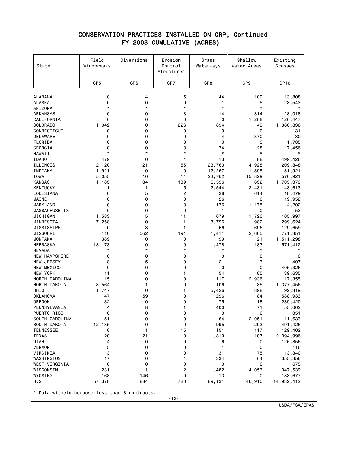#### CONSERVATION PRACTICES INSTALLED ON CRP, Continued FY 2003 CUMULATIVE (ACRES)

| State                              | Field<br>Windbreaks | Diversions      | Erosion<br>Control<br>Structures | Grass<br>Waterways | Shallow<br>Water Areas | Existing<br>Grasses |
|------------------------------------|---------------------|-----------------|----------------------------------|--------------------|------------------------|---------------------|
|                                    | CP <sub>5</sub>     | CP <sub>6</sub> | CP7                              | CP <sub>8</sub>    | CP <sub>9</sub>        | CP <sub>10</sub>    |
| <b>ALABAMA</b>                     | 0                   | 4               | 5                                | 44                 | 109                    | 113,808             |
| <b>ALASKA</b>                      | 0                   | 0               | 0                                | 1                  | 5                      | 23,543              |
| ARIZONA                            | $\star$             | *               | $\star$                          | $\star$            | $\star$                |                     |
| ARKANSAS                           | 0                   | 0               | 3                                | 14                 | 814                    | 28,018              |
| CALIFORNIA                         | 0                   | 0               | 0                                | 0                  | 1,288                  | 126,447             |
| COLORADO                           | 1,042               | 0               | 226                              | 894                | 49                     | 1,366,836           |
| CONNECTICUT                        | 0                   | 0               | 0                                | 0                  | 0                      | 131                 |
| DELAWARE                           | 0                   | 0               | 0                                | 4                  | 370                    | 30                  |
| FLORIDA                            | 0                   | 0               | 0                                | 0                  | 0                      | 1,785               |
| GEORGIA                            | 0                   | 0               | 8                                | 74                 | 28                     | 7,456               |
| HAWAII                             | $\star$             | $\star$         | $\star$                          | $\star$            | $\star$                |                     |
| <b>IDAHO</b>                       | 479                 | 0               | 4                                | 13                 | 88                     | 499,426             |
| ILLINOIS                           | 2,120               | 21              | 55                               | 23,763             | 4,928                  | 209,848             |
| INDIANA                            | 1,921               | 0               | 10                               | 12,267             | 1,395                  | 81,921              |
| IOWA                               | 5,055               | 10              | 14                               | 23,762             | 15,829                 | 570,921             |
| <b>KANSAS</b>                      | 1,183               | 34              | 139                              | 6,596              | 632                    | 1,705,379           |
| <b>KENTUCKY</b>                    | 1                   | 1               | 5                                | 2,544              | 2,431                  | 143,613             |
| LOUISIANA                          | 0                   | 5               | $\overline{c}$                   | 28                 | 614                    | 18,479              |
| MAINE                              | 0                   | 0               | 0                                | 26                 | 0                      | 19,952              |
| MARYLAND                           | 0                   | 0               | 8                                | 176                | 1,175                  | 4,202               |
| <b>MASSACHUSETTS</b>               | 0                   | 0               | 0                                | 1                  | 0                      | 53                  |
| MICHIGAN                           | 1,583               | 5               | 11                               | 679                | 1,720                  | 105,997             |
| MINNESOTA                          | 7,258               | 0               | 1                                | 3,796              | 982                    | 299,624             |
| MISSISSIPPI                        | 0                   | 3               | 1                                | 66                 | 696                    | 129,659             |
| MISSOURI                           | 110                 | 562             | 194                              | 1,411              | 2,665                  | 771,351             |
| <b>MONTANA</b>                     | 389                 | 0               | 0                                | 99                 | 21                     | 1,511,298           |
| NEBRASKA                           | 18,173<br>$^\star$  | 0<br>*          | 10<br>$\star$                    | 1,478<br>$\star$   | 183<br>$\star$         | 571,412<br>$\star$  |
| NEVADA                             | 0                   | 0               | 0                                | 0                  | 0                      | 0                   |
| <b>NEW HAMPSHIRE</b><br>NEW JERSEY | 8                   | 5               | 0                                | 21                 | 3                      | 407                 |
| NEW MEXICO                         | 0                   | 0               | 0                                | 0                  | 0                      | 405,326             |
| NEW YORK                           | 11                  | 0               | 1                                | 54                 | 85                     | 39,635              |
| NORTH CAROLINA                     | 15                  | 0               | 0                                | 117                | 2,936                  | 17,355              |
| NORTH DAKOTA                       | 3,564               | 1               | 0                                | 106                | 35                     | 1,377,456           |
| OHIO                               | 1,747               | 0               | 1                                | 5,426              | 898                    | 92,319              |
| <b>OKLAHOMA</b>                    | 47                  | 59              | 0                                | 296                | 84                     | 588,933             |
| OREGON                             | 32                  | 0               | 0                                | 75                 | 18                     | 289,420             |
| PENNSYLVANIA                       | 4                   | 8               | 1                                | 400                | $71$                   | 55,002              |
| PUERTO RICO                        | 0                   | 0               | 0                                | 0                  | 0                      | 351                 |
| SOUTH CAROLINA                     | 51                  | 0               | 0                                | 64                 | 2,051                  | 11,633              |
| SOUTH DAKOTA                       | 12,135              | 0               | 0                                | 995                | 293                    | 491,426             |
| <b>TENNESSEE</b>                   | 0                   | 1               | 15                               | 151                | 117                    | 129,402             |
| <b>TEXAS</b>                       | 20                  | 21              | 0                                | 1,819              | 107                    | 2,094,996           |
| <b>UTAH</b>                        | 4                   | 0               | 0                                | 6                  | 0                      | 126,856             |
| <b>VERMONT</b>                     | 5                   | 0               | 0                                | 1                  | 0                      | 116                 |
| VIRGINIA                           | 3                   | 0               | 0                                | 31                 | 75                     | 13,340              |
| WASHINGTON                         | 17                  | 0               | 4                                | 334                | 64                     | 355,358             |
| WEST VIRGINIA                      | 0                   | 0               | 0                                | 0                  | 0                      | 675                 |
| WISCONSIN                          | 231                 | 1               | $\overline{\mathbf{c}}$          | 1,482              | 4,053                  | 347,539             |
| WYOMING                            | 168                 | 146             | 0                                | 13                 | 0                      | 183,677             |
| U.S.                               | 57,378              | 884             | 720                              | 89,131             | 46,910                 | 14,932,412          |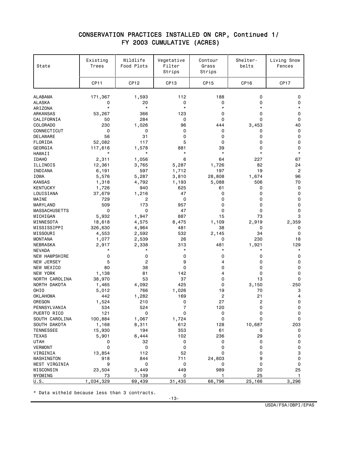#### CONSERVATION PRACTICES INSTALLED ON CRP, Continued 1/ FY 2003 CUMULATIVE (ACRES)

| State                            | Existing<br>Trees | Wildlife<br>Food Plots | Vegetative<br>Filter<br>Strips | Contour<br>Grass<br>Strips | Shelter-<br>belts | Living Snow<br>Fences |
|----------------------------------|-------------------|------------------------|--------------------------------|----------------------------|-------------------|-----------------------|
|                                  | <b>CP11</b>       | CP <sub>12</sub>       | CP <sub>13</sub>               | CP <sub>15</sub>           | CP <sub>16</sub>  | CP <sub>17</sub>      |
| <b>ALABAMA</b>                   | 171,367           | 1,593                  | 112                            | 188                        | 0                 | 0                     |
| <b>ALASKA</b>                    | 0                 | 20                     | 0                              | 0                          | 0                 | 0                     |
| ARIZONA                          | $\star$           | $\star$                | $\star$                        | $\star$                    | $\star$           | $^\star$              |
| ARKANSAS                         | 53,267            | 366                    | 123                            | 0                          | 0                 | 0                     |
| CALIFORNIA                       | 50                | 284                    | 0                              | 0                          | 0                 | 0                     |
| COLORADO                         | 230               | 1,026                  | 96                             | 444                        | 3,453             | 40                    |
| CONNECTICUT                      | 0                 | 0                      | 0                              | 0                          | 0                 | 0                     |
| <b>DELAWARE</b>                  | 56                | 31                     | 0                              | 0                          | 0                 | 0                     |
| FLORIDA                          | 52,082            | 117                    | 5                              | 0                          | 0                 | 0                     |
| GEORGIA                          | 117,616           | 1,578                  | 881                            | 39                         | 0                 | 0                     |
| HAWAII                           | $\star$           | $\star$                | $\star$                        | $\star$                    | $\star$           | $\star$               |
| <b>IDAHO</b>                     | 2,311             | 1,056                  | 6                              | 64                         | 227               | 67                    |
| ILLINOIS                         | 12,361            | 3,765                  | 5,287                          | 1,726                      | 82                | 24                    |
| INDIANA                          | 6,191             | 597                    | 1,712                          | 197                        | 19                | $\overline{c}$        |
| IOWA                             | 5,576             | 5,287                  | 3,810                          | 28,808                     | 1,674             | 96                    |
| <b>KANSAS</b><br><b>KENTUCKY</b> | 1,318             | 4,792<br>940           | 1,193<br>625                   | 5,088<br>61                | 506<br>0          | 70<br>0               |
| LOUISIANA                        | 1,726<br>37,679   | 1,216                  | 47                             | 0                          | 0                 | 0                     |
| MAINE                            | 729               | 2                      | 0                              | 0                          | 0                 | 0                     |
| MARYLAND                         | 509               | 173                    | 957                            | 0                          | 0                 | 0                     |
| <b>MASSACHUSETTS</b>             | 0                 | $\mathbf 0$            | 47                             | 0                          | 0                 | 0                     |
| MICHIGAN                         | 5,932             | 1,947                  | 887                            | 15                         | 73                | 3                     |
| MINNESOTA                        | 18,618            | 4,575                  | 8,475                          | 1,109                      | 2,919             | 2,359                 |
| MISSISSIPPI                      | 326,630           | 4,964                  | 481                            | 38                         | 0                 | 0                     |
| MISSOURI                         | 4,553             | 2,592                  | 532                            | 2,145                      | 34                | 0                     |
| <b>MONTANA</b>                   | 1,077             | 2,539                  | 26                             | 0                          | 230               | 18                    |
| NEBRASKA                         | 2,917             | 2,338                  | 313                            | 481                        | 1,921             | 129                   |
| NEVADA                           | $\star$           | $^\star$               | $\star$                        | $^\star$                   | $^\star$          | $^\star$              |
| <b>NEW HAMPSHIRE</b>             | 0                 | $\mathbf 0$            | 0                              | 0                          | 0                 | 0                     |
| NEW JERSEY                       | 5                 | $\overline{c}$         | 9                              | 4                          | 0                 | 0                     |
| NEW MEXICO                       | 80                | 38                     | 0                              | 0                          | 0                 | 0                     |
| <b>NEW YORK</b>                  | 1,138             | 81                     | 142                            | 4                          | 0                 | 0                     |
| NORTH CAROLINA                   | 38,970            | 53                     | 37                             | 0                          | 13                | 0                     |
| NORTH DAKOTA                     | 1,465             | 4,092                  | 425                            | 0                          | 3,150             | 250                   |
| <b>OHIO</b>                      | 5,012             | 766                    | 1,026                          | 19                         | 70                | 3                     |
| <b>OKLAHOMA</b>                  | 442               | 1,282                  | 169                            | 2                          | 21                | 4                     |
| OREGON                           | 1,524             | 210                    | 0                              | 27                         | 2                 | 0                     |
| PENNSYLVANIA                     | 534               | 524                    | $\overline{7}$                 | 120                        | $\Omega$          | 0                     |
| PUERTO RICO                      | 121               | 0                      | 0                              | 0                          | 0                 | 0                     |
| SOUTH CAROLINA                   | 100,884           | 1,067                  | 1,724                          | 0                          | 0                 | 0                     |
| SOUTH DAKOTA<br><b>TENNESSEE</b> | 1,168             | 8,311<br>194           | 612<br>353                     | 128<br>61                  | 10,687<br>0       | 203<br>0              |
| <b>TEXAS</b>                     | 15,930<br>5,901   | 6,444                  | 102                            | 236                        | 29                | 0                     |
| <b>UTAH</b>                      | 0                 | 32                     | 0                              | 0                          | 0                 | 0                     |
| <b>VERMONT</b>                   | 0                 | 0                      | 0                              | 0                          | 0                 | 0                     |
| VIRGINIA                         | 13,854            | 112                    | 52                             | 0                          | 0                 | 3                     |
| WASHINGTON                       | 918               | 844                    | 711                            | 24,803                     | 9                 | 0                     |
| WEST VIRGINIA                    | 9                 | 0                      | 0                              | 0                          | 0                 | 0                     |
| WISCONSIN                        | 23,504            | 3,449                  | 449                            | 989                        | 20                | 25                    |
| WYOMING                          | 73                | 139                    | 0                              | 1                          | 25                | $\mathbf{1}$          |
| U.S.                             | 1,034,329         | 69,439                 | 31,435                         | 66,796                     | 25,166            | 3,296                 |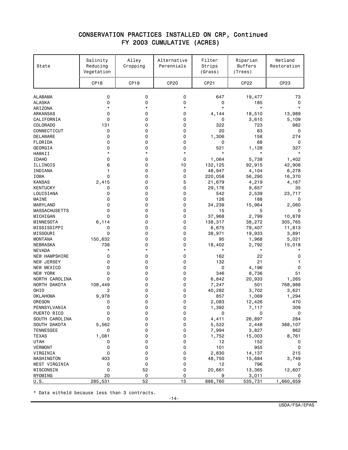#### CONSERVATION PRACTICES INSTALLED ON CRP, Continued FY 2003 CUMULATIVE (ACRES)

| State                     | Salinity<br>Reducing<br>Vegetation | Alley<br>Cropping | Alternative<br>Perennials | Filter<br>Strips<br>(Grass) | Riparian<br><b>Buffers</b><br>(Trees) | Wetland<br>Restoration |
|---------------------------|------------------------------------|-------------------|---------------------------|-----------------------------|---------------------------------------|------------------------|
|                           | CP <sub>18</sub>                   | CP <sub>19</sub>  | <b>CP20</b>               | CP21                        | CP22                                  | CP23                   |
| <b>ALABAMA</b>            | 0                                  | 0                 | 0                         | 647                         | 19,477                                | 73                     |
| <b>ALASKA</b>             | 0                                  | 0                 | 0                         | 0                           | 185                                   | 0                      |
| ARIZONA                   | $^\star$                           | $^\star$          | $\star$                   | $\star$                     | $\star$                               | $\star$                |
| ARKANSAS                  | 0                                  | 0                 | 0                         | 4,144                       | 18,510                                | 13,989                 |
| CALIFORNIA                | 0                                  | 0                 | 0                         | 0                           | 3,610                                 | 5,109                  |
| COLORADO                  | 131                                | 0                 | 0                         | 322                         | 723                                   | 982                    |
| CONNECTICUT               | 0                                  | 0                 | 0                         | 20                          | 63                                    | 0                      |
| DELAWARE                  | 0                                  | 0                 | 0                         | 1,306                       | 158                                   | 274                    |
| FLORIDA                   | 0                                  | 0                 | 0                         | 0                           | 68                                    | 0                      |
| GEORGIA                   | 0                                  | 0                 | 0                         | 521                         | 1,128                                 | 327                    |
| HAWAII                    | $\star$                            | $\star$           | $\star$                   | $^\star$                    | $^\star$                              | $^\star$               |
| <b>IDAHO</b>              | 0                                  | 0                 | 0                         | 1,064                       | 5,738                                 | 1,402                  |
| ILLINOIS                  | 6                                  | 0                 | 10                        | 132,125                     | 92,915                                | 42,908                 |
| INDIANA                   | 1                                  | 0                 | 0                         | 48,947                      | 4,104                                 | 6,278                  |
| IOWA                      | 0                                  | 0                 | 0                         | 220,058                     | 56,290                                | 16,370                 |
| <b>KANSAS</b>             | 2,415                              | 0                 | 5                         | 21,679                      | 4,219                                 | 4,167                  |
| <b>KENTUCKY</b>           | 0                                  | 0                 | 0                         | 29,176                      | 9,657                                 | 35                     |
| LOUISIANA                 | 0                                  | 0                 | 0                         | 542                         | 2,539                                 | 23,717                 |
| MAINE                     | 0                                  | 0                 | 0                         | 126                         | 188                                   | 0                      |
| MARYLAND                  | 0                                  | 0                 | 0                         | 34,239                      | 15,964                                | 2,060                  |
| <b>MASSACHUSETTS</b>      | 0                                  | 0                 | 0                         | 15                          | 5                                     | 0                      |
| MICHIGAN                  | 0                                  | 0                 | 0                         | 37,968                      | 2,799                                 | 10,878                 |
| MINNESOTA                 | 6,114                              | 0                 | 0                         | 138,317                     | 38,272                                | 305,765                |
| MISSISSIPPI               | 0                                  | 0                 | 0                         | 6,675                       | 79,407                                | 11,813                 |
| MISSOURI                  | 0                                  | 0                 | 0                         | 38,971                      | 19,933                                | 3,891                  |
| <b>MONTANA</b>            | 150,632                            | 0                 | 0                         | 95                          | 1,968                                 | 5,021                  |
| NEBRASKA<br><b>NEVADA</b> | 738<br>$\star$                     | 0<br>$\star$      | 0<br>$\star$              | 18,402<br>$\star$           | 2,792<br>$^\star$                     | 15,018<br>$\star$      |
| <b>NEW HAMPSHIRE</b>      | 0                                  | 0                 | 0                         | 162                         | 22                                    | 0                      |
| NEW JERSEY                | 0                                  | 0                 | 0                         | 132                         | 21                                    | 1                      |
| NEW MEXICO                | 0                                  | 0                 | 0                         | 0                           | 4,196                                 | 0                      |
| <b>NEW YORK</b>           | 0                                  | 0                 | 0                         | 346                         | 8,736                                 | 51                     |
| NORTH CAROLINA            | 0                                  | 0                 | 0                         | 6,842                       | 20,933                                | 1,265                  |
| NORTH DAKOTA              | 108,449                            | 0                 | 0                         | 7,247                       | 501                                   | 768,988                |
| OHIO                      | 2                                  | 0                 | 0                         | 40,282                      | 3,702                                 | 3,621                  |
| <b>OKLAHOMA</b>           | 9,978                              | 0                 | 0                         | 857                         | 1,069                                 | 1,294                  |
| OREGON                    | 0                                  | 0                 | 0                         | 2,083                       | 12,426                                | 470                    |
| PENNSYLVANIA              | 0                                  | 0                 | 0                         | 1,392                       | 7,117                                 | 309                    |
| PUERTO RICO               | 0                                  | 0                 | 0                         | 0                           | 0                                     | 0                      |
| SOUTH CAROLINA            | 0                                  | 0                 | 0                         | 4,411                       | 26,897                                | 284                    |
| SOUTH DAKOTA              | 5,562                              | 0                 | 0                         | 5,522                       | 2,448                                 | 388,107                |
| <b>TENNESSEE</b>          | 0                                  | 0                 | 0                         | 7,994                       | 3,827                                 | 862                    |
| TEXAS                     | 1,081                              | 0                 | 0                         | 1,752                       | 15,003                                | 8,761                  |
| <b>UTAH</b>               | 0                                  | 0                 | 0                         | 12                          | 152                                   | 0                      |
| <b>VERMONT</b>            | 0                                  | 0                 | 0                         | 101                         | 955                                   | 0                      |
| VIRGINIA                  | 0                                  | 0                 | 0                         | 2,830                       | 14,137                                | 215                    |
| WASHINGTON                | 403                                | 0                 | 0                         | 48,750                      | 15,684                                | 3,749                  |
| WEST VIRGINIA             | 0                                  | 0                 | 0                         | 12                          | 796                                   | 0                      |
| WISCONSIN                 | 0                                  | 52                | 0                         | 20,661                      | 13,365                                | 12,607                 |
| <b>WYOMING</b>            | 20                                 | 0                 | 0                         | 9                           | 3,011                                 | 0                      |
| U.S.                      | 285,531                            | 52                | 15                        | 886,760                     | 535,731                               | 1,660,659              |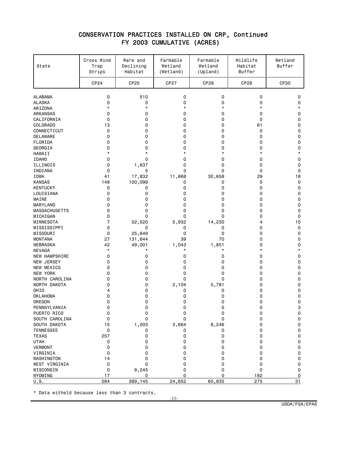### CONSERVATION PRACTICES INSTALLED ON CRP, Continued FY 2003 CUMULATIVE (ACRES)

| CP24<br>CP25<br>CP <sub>27</sub><br>CP <sub>28</sub><br>CP29<br><b>CP30</b><br>0<br><b>ALABAMA</b><br>0<br>510<br>0<br>0<br><b>ALASKA</b><br>0<br>0<br>0<br>0<br>0<br>$\star$<br>$\star$<br>$^\star$<br>$^\star$<br>$\star$<br>ARIZONA<br>0<br>0<br>0<br>0<br>ARKANSAS<br>0<br>CALIFORNIA<br>0<br>0<br>0<br>0<br>0<br><b>COLORADO</b><br>13<br>0<br>0<br>0<br>61<br>0<br>CONNECTICUT<br>0<br>0<br>0<br>0<br><b>DELAWARE</b><br>0<br>0<br>0<br>0<br>0<br>FLORIDA<br>0<br>0<br>0<br>0<br>0<br>0<br>GEORGIA<br>0<br>0<br>0<br>0<br>$\star$<br>$^\star$<br>$\star$<br>$\star$<br>HAWAII<br>*<br><b>IDAHO</b><br>0<br>0<br>0<br>0<br>0<br>0<br>ILLINOIS<br>0<br>1,637<br>0<br>0<br>INDIANA<br>0<br>5<br>3<br>0<br>0<br>IOWA<br>17,832<br>11,868<br>30,658<br>29<br>41<br><b>KANSAS</b><br>148<br>100,099<br>0<br>0<br>0<br><b>KENTUCKY</b><br>0<br>0<br>0<br>0<br>0<br>0<br>0<br>0<br>LOUISIANA<br>0<br>0<br>0<br>MAINE<br>0<br>0<br>0<br>0<br>MARYLAND<br>0<br>0<br>0<br>0<br>0 | Wetland<br>Buffer |
|-----------------------------------------------------------------------------------------------------------------------------------------------------------------------------------------------------------------------------------------------------------------------------------------------------------------------------------------------------------------------------------------------------------------------------------------------------------------------------------------------------------------------------------------------------------------------------------------------------------------------------------------------------------------------------------------------------------------------------------------------------------------------------------------------------------------------------------------------------------------------------------------------------------------------------------------------------------------------------|-------------------|
|                                                                                                                                                                                                                                                                                                                                                                                                                                                                                                                                                                                                                                                                                                                                                                                                                                                                                                                                                                             |                   |
|                                                                                                                                                                                                                                                                                                                                                                                                                                                                                                                                                                                                                                                                                                                                                                                                                                                                                                                                                                             | 0                 |
|                                                                                                                                                                                                                                                                                                                                                                                                                                                                                                                                                                                                                                                                                                                                                                                                                                                                                                                                                                             | 0                 |
|                                                                                                                                                                                                                                                                                                                                                                                                                                                                                                                                                                                                                                                                                                                                                                                                                                                                                                                                                                             | $\star$           |
|                                                                                                                                                                                                                                                                                                                                                                                                                                                                                                                                                                                                                                                                                                                                                                                                                                                                                                                                                                             | 0                 |
|                                                                                                                                                                                                                                                                                                                                                                                                                                                                                                                                                                                                                                                                                                                                                                                                                                                                                                                                                                             | 0                 |
|                                                                                                                                                                                                                                                                                                                                                                                                                                                                                                                                                                                                                                                                                                                                                                                                                                                                                                                                                                             | 0                 |
|                                                                                                                                                                                                                                                                                                                                                                                                                                                                                                                                                                                                                                                                                                                                                                                                                                                                                                                                                                             | 0                 |
|                                                                                                                                                                                                                                                                                                                                                                                                                                                                                                                                                                                                                                                                                                                                                                                                                                                                                                                                                                             | $\mathbf 0$       |
|                                                                                                                                                                                                                                                                                                                                                                                                                                                                                                                                                                                                                                                                                                                                                                                                                                                                                                                                                                             | $\mathbf 0$       |
|                                                                                                                                                                                                                                                                                                                                                                                                                                                                                                                                                                                                                                                                                                                                                                                                                                                                                                                                                                             | 0                 |
|                                                                                                                                                                                                                                                                                                                                                                                                                                                                                                                                                                                                                                                                                                                                                                                                                                                                                                                                                                             | $\star$           |
|                                                                                                                                                                                                                                                                                                                                                                                                                                                                                                                                                                                                                                                                                                                                                                                                                                                                                                                                                                             | 0                 |
|                                                                                                                                                                                                                                                                                                                                                                                                                                                                                                                                                                                                                                                                                                                                                                                                                                                                                                                                                                             | 0                 |
|                                                                                                                                                                                                                                                                                                                                                                                                                                                                                                                                                                                                                                                                                                                                                                                                                                                                                                                                                                             | $\mathbf 0$       |
|                                                                                                                                                                                                                                                                                                                                                                                                                                                                                                                                                                                                                                                                                                                                                                                                                                                                                                                                                                             | 18                |
|                                                                                                                                                                                                                                                                                                                                                                                                                                                                                                                                                                                                                                                                                                                                                                                                                                                                                                                                                                             | 0                 |
|                                                                                                                                                                                                                                                                                                                                                                                                                                                                                                                                                                                                                                                                                                                                                                                                                                                                                                                                                                             | 0                 |
|                                                                                                                                                                                                                                                                                                                                                                                                                                                                                                                                                                                                                                                                                                                                                                                                                                                                                                                                                                             | 0                 |
|                                                                                                                                                                                                                                                                                                                                                                                                                                                                                                                                                                                                                                                                                                                                                                                                                                                                                                                                                                             | 0                 |
| <b>MASSACHUSETTS</b><br>0<br>0<br>0<br>0<br>0                                                                                                                                                                                                                                                                                                                                                                                                                                                                                                                                                                                                                                                                                                                                                                                                                                                                                                                               | 0<br>0            |
| 0<br>0<br>0<br>0<br>0<br>MICHIGAN                                                                                                                                                                                                                                                                                                                                                                                                                                                                                                                                                                                                                                                                                                                                                                                                                                                                                                                                           | 0                 |
| 7<br>MINNESOTA<br>5,932<br>14,230<br>52,520<br>4                                                                                                                                                                                                                                                                                                                                                                                                                                                                                                                                                                                                                                                                                                                                                                                                                                                                                                                            | 10                |
| 0<br>MISSISSIPPI<br>0<br>0<br>0<br>0                                                                                                                                                                                                                                                                                                                                                                                                                                                                                                                                                                                                                                                                                                                                                                                                                                                                                                                                        | 0                 |
| 0<br>MISSOURI<br>0<br>25,649<br>0<br>0                                                                                                                                                                                                                                                                                                                                                                                                                                                                                                                                                                                                                                                                                                                                                                                                                                                                                                                                      | 0                 |
| <b>MONTANA</b><br>131,644<br>39<br>70<br>27<br>0                                                                                                                                                                                                                                                                                                                                                                                                                                                                                                                                                                                                                                                                                                                                                                                                                                                                                                                            | 0                 |
| NEBRASKA<br>42<br>49,001<br>1,851<br>1,043<br>0                                                                                                                                                                                                                                                                                                                                                                                                                                                                                                                                                                                                                                                                                                                                                                                                                                                                                                                             | $\mathbf 0$       |
| $^\star$<br>$^\star$<br>$^\star$<br>$^\star$<br><b>NEVADA</b><br>*                                                                                                                                                                                                                                                                                                                                                                                                                                                                                                                                                                                                                                                                                                                                                                                                                                                                                                          | $\star$           |
| 0<br><b>NEW HAMPSHIRE</b><br>0<br>0<br>0<br>0                                                                                                                                                                                                                                                                                                                                                                                                                                                                                                                                                                                                                                                                                                                                                                                                                                                                                                                               | 0                 |
| NEW JERSEY<br>0<br>0<br>0<br>0<br>0                                                                                                                                                                                                                                                                                                                                                                                                                                                                                                                                                                                                                                                                                                                                                                                                                                                                                                                                         | 0                 |
| 0<br>NEW MEXICO<br>0<br>0<br>0<br>0                                                                                                                                                                                                                                                                                                                                                                                                                                                                                                                                                                                                                                                                                                                                                                                                                                                                                                                                         | 0                 |
| 0<br><b>NEW YORK</b><br>0<br>0<br>0<br>0                                                                                                                                                                                                                                                                                                                                                                                                                                                                                                                                                                                                                                                                                                                                                                                                                                                                                                                                    | 0                 |
| NORTH CAROLINA<br>0<br>0<br>0<br>0<br>0                                                                                                                                                                                                                                                                                                                                                                                                                                                                                                                                                                                                                                                                                                                                                                                                                                                                                                                                     | 0                 |
| NORTH DAKOTA<br>0<br>2,104<br>5,781<br>0<br>0                                                                                                                                                                                                                                                                                                                                                                                                                                                                                                                                                                                                                                                                                                                                                                                                                                                                                                                               | 0                 |
| <b>OHIO</b><br>0<br>4<br>0<br>0<br>0                                                                                                                                                                                                                                                                                                                                                                                                                                                                                                                                                                                                                                                                                                                                                                                                                                                                                                                                        | 0                 |
| <b>OKLAHOMA</b><br>0<br>0<br>0<br>0<br>0                                                                                                                                                                                                                                                                                                                                                                                                                                                                                                                                                                                                                                                                                                                                                                                                                                                                                                                                    | 0                 |
| 0<br>0<br>0<br>OREGON<br>0<br>0                                                                                                                                                                                                                                                                                                                                                                                                                                                                                                                                                                                                                                                                                                                                                                                                                                                                                                                                             | 0                 |
| PENNSYLVANIA<br>0<br>0<br>0<br>0<br>0                                                                                                                                                                                                                                                                                                                                                                                                                                                                                                                                                                                                                                                                                                                                                                                                                                                                                                                                       | 3                 |
| PUERTO RICO<br>0<br>0<br>0<br>0<br>0                                                                                                                                                                                                                                                                                                                                                                                                                                                                                                                                                                                                                                                                                                                                                                                                                                                                                                                                        | 0                 |
| SOUTH CAROLINA<br>0<br>0<br>0<br>0<br>0                                                                                                                                                                                                                                                                                                                                                                                                                                                                                                                                                                                                                                                                                                                                                                                                                                                                                                                                     | 0                 |
| 1,003<br>SOUTH DAKOTA<br>15<br>3,664<br>8,246<br>0                                                                                                                                                                                                                                                                                                                                                                                                                                                                                                                                                                                                                                                                                                                                                                                                                                                                                                                          | 0                 |
| <b>TENNESSEE</b><br>0<br>0<br>0<br>0<br>0                                                                                                                                                                                                                                                                                                                                                                                                                                                                                                                                                                                                                                                                                                                                                                                                                                                                                                                                   | 0                 |
| <b>TEXAS</b><br>257<br>0<br>0<br>0<br>0                                                                                                                                                                                                                                                                                                                                                                                                                                                                                                                                                                                                                                                                                                                                                                                                                                                                                                                                     | 0                 |
| <b>UTAH</b><br>0<br>0<br>0<br>0<br>0                                                                                                                                                                                                                                                                                                                                                                                                                                                                                                                                                                                                                                                                                                                                                                                                                                                                                                                                        | 0                 |
| VERMONT<br>0<br>0<br>0<br>0<br>0                                                                                                                                                                                                                                                                                                                                                                                                                                                                                                                                                                                                                                                                                                                                                                                                                                                                                                                                            | 0                 |
| VIRGINIA<br>0<br>0<br>0<br>0<br>0                                                                                                                                                                                                                                                                                                                                                                                                                                                                                                                                                                                                                                                                                                                                                                                                                                                                                                                                           | 0                 |
| 0<br>0<br>0<br>WASHINGTON<br>14<br>0                                                                                                                                                                                                                                                                                                                                                                                                                                                                                                                                                                                                                                                                                                                                                                                                                                                                                                                                        | 0                 |
| WEST VIRGINIA<br>0<br>0<br>0<br>0<br>0                                                                                                                                                                                                                                                                                                                                                                                                                                                                                                                                                                                                                                                                                                                                                                                                                                                                                                                                      | 0                 |
| WISCONSIN<br>0<br>9,245<br>0<br>0<br>0                                                                                                                                                                                                                                                                                                                                                                                                                                                                                                                                                                                                                                                                                                                                                                                                                                                                                                                                      | 0                 |
| WYOMING<br>0<br>0<br>17<br>0<br>182<br>U.S.<br>584<br>275<br>389,145<br>24,652<br>60,835                                                                                                                                                                                                                                                                                                                                                                                                                                                                                                                                                                                                                                                                                                                                                                                                                                                                                    | 0<br>31           |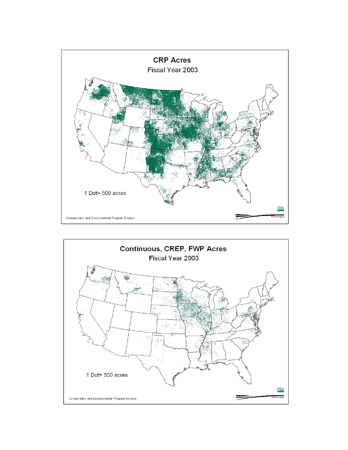

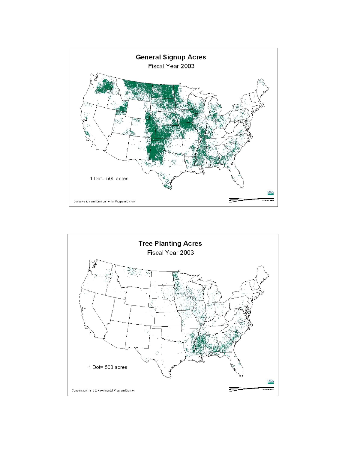

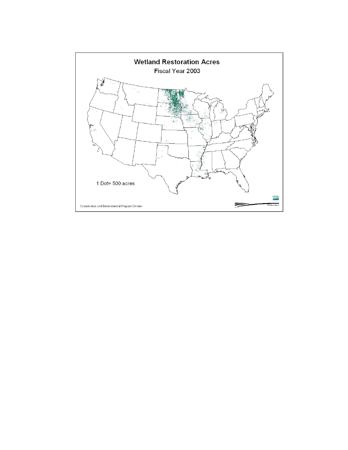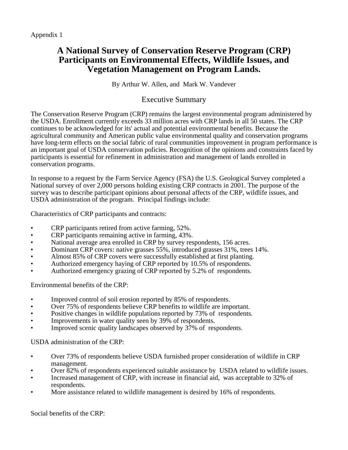# **A National Survey of Conservation Reserve Program (CRP) Participants on Environmental Effects, Wildlife Issues, and Vegetation Management on Program Lands.**

By Arthur W. Allen, and Mark W. Vandever

## Executive Summary

The Conservation Reserve Program (CRP) remains the largest environmental program administered by the USDA. Enrollment currently exceeds 33 million acres with CRP lands in all 50 states. The CRP continues to be acknowledged for its' actual and potential environmental benefits. Because the agricultural community and American public value environmental quality and conservation programs have long-term effects on the social fabric of rural communities improvement in program performance is an important goal of USDA conservation policies. Recognition of the opinions and constraints faced by participants is essential for refinement in administration and management of lands enrolled in conservation programs.

In response to a request by the Farm Service Agency (FSA) the U.S. Geological Survey completed a National survey of over 2,000 persons holding existing CRP contracts in 2001. The purpose of the survey was to describe participant opinions about personal affects of the CRP, wildlife issues, and USDA administration of the program. Principal findings include:

Characteristics of CRP participants and contracts:

- CRP participants retired from active farming, 52%.
- CRP participants remaining active in farming, 43%.
- National average area enrolled in CRP by survey respondents, 156 acres.
- Dominant CRP covers: native grasses 55%, introduced grasses 31%, trees 14%.
- Almost 85% of CRP covers were successfully established at first planting.
- Authorized emergency haying of CRP reported by 10.5% of respondents.
- Authorized emergency grazing of CRP reported by 5.2% of respondents.

Environmental benefits of the CRP:

- Improved control of soil erosion reported by 85% of respondents.
- Over 75% of respondents believe CRP benefits to wildlife are important.
- Positive changes in wildlife populations reported by 73% of respondents.
- Improvements in water quality seen by 39% of respondents.
- Improved scenic quality landscapes observed by 37% of respondents.

USDA administration of the CRP:

- Over 73% of respondents believe USDA furnished proper consideration of wildlife in CRP management.
- Over 82% of respondents experienced suitable assistance by USDA related to wildlife issues.
- Increased management of CRP, with increase in financial aid, was acceptable to 32% of respondents.
- More assistance related to wildlife management is desired by 16% of respondents.

Social benefits of the CRP: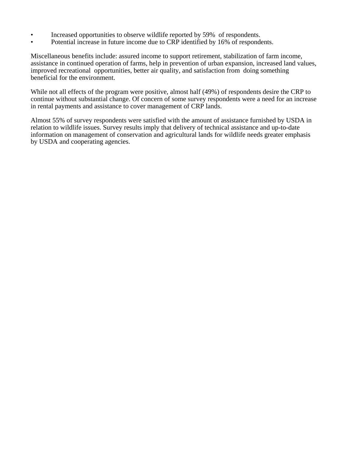- Increased opportunities to observe wildlife reported by 59% of respondents.
- Potential increase in future income due to CRP identified by 16% of respondents.

Miscellaneous benefits include: assured income to support retirement, stabilization of farm income, assistance in continued operation of farms, help in prevention of urban expansion, increased land values, improved recreational opportunities, better air quality, and satisfaction from doing something beneficial for the environment.

While not all effects of the program were positive, almost half (49%) of respondents desire the CRP to continue without substantial change. Of concern of some survey respondents were a need for an increase in rental payments and assistance to cover management of CRP lands.

Almost 55% of survey respondents were satisfied with the amount of assistance furnished by USDA in relation to wildlife issues. Survey results imply that delivery of technical assistance and up-to-date information on management of conservation and agricultural lands for wildlife needs greater emphasis by USDA and cooperating agencies.